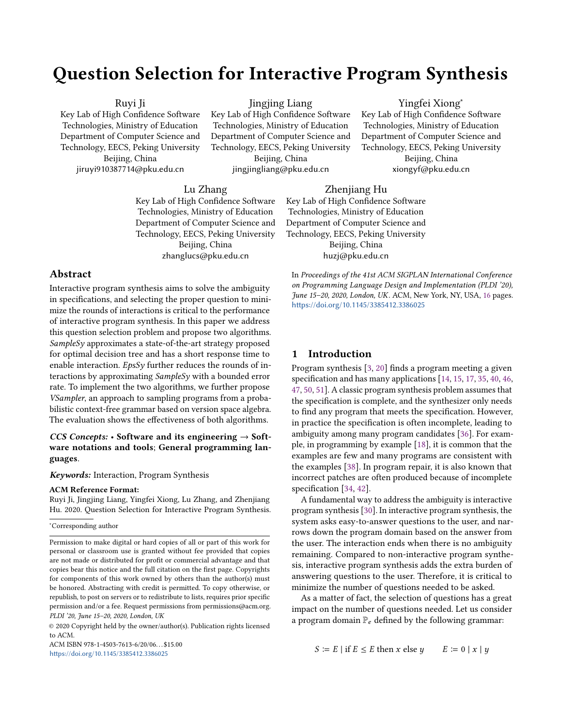# Question Selection for Interactive Program Synthesis

#### Ruyi Ji

Key Lab of High Confidence Software Technologies, Ministry of Education Department of Computer Science and Technology, EECS, Peking University Beijing, China jiruyi910387714@pku.edu.cn

Jingjing Liang

Key Lab of High Confidence Software Technologies, Ministry of Education Department of Computer Science and Technology, EECS, Peking University Beijing, China

jingjingliang@pku.edu.cn

## Yingfei Xiong<sup>∗</sup> Key Lab of High Confidence Software Technologies, Ministry of Education Department of Computer Science and Technology, EECS, Peking University Beijing, China xiongyf@pku.edu.cn

#### Lu Zhang

Key Lab of High Confidence Software Technologies, Ministry of Education Department of Computer Science and Technology, EECS, Peking University Beijing, China zhanglucs@pku.edu.cn

## Zhenjiang Hu

Key Lab of High Confidence Software Technologies, Ministry of Education Department of Computer Science and Technology, EECS, Peking University Beijing, China huzj@pku.edu.cn

<https://doi.org/10.1145/3385412.3386025>

## Abstract

Interactive program synthesis aims to solve the ambiguity in specifications, and selecting the proper question to minimize the rounds of interactions is critical to the performance of interactive program synthesis. In this paper we address this question selection problem and propose two algorithms. SampleSy approximates a state-of-the-art strategy proposed for optimal decision tree and has a short response time to enable interaction.  $EpsSv$  further reduces the rounds of interactions by approximating SampleSy with a bounded error rate. To implement the two algorithms, we further propose VSampler, an approach to sampling programs from a probabilistic context-free grammar based on version space algebra. The evaluation shows the effectiveness of both algorithms.

## CCS Concepts: • Software and its engineering  $\rightarrow$  Software notations and tools; General programming languages.

#### Keywords: Interaction, Program Synthesis

#### ACM Reference Format:

Ruyi Ji, Jingjing Liang, Yingfei Xiong, Lu Zhang, and Zhenjiang Hu. 2020. Question Selection for Interactive Program Synthesis.

ACM ISBN 978-1-4503-7613-6/20/06. . . \$15.00 <https://doi.org/10.1145/3385412.3386025>

# <span id="page-0-0"></span>1 Introduction

Program synthesis [\[3,](#page-13-0) [20\]](#page-14-0) finds a program meeting a given specification and has many applications [\[14,](#page-13-1) [15,](#page-13-2) [17,](#page-14-1) [35,](#page-14-2) [40,](#page-14-3) [46,](#page-14-4) [47,](#page-15-1) [50,](#page-15-2) [51\]](#page-15-3). A classic program synthesis problem assumes that the specification is complete, and the synthesizer only needs to find any program that meets the specification. However, in practice the specification is often incomplete, leading to ambiguity among many program candidates [\[36\]](#page-14-5). For example, in programming by example [\[18\]](#page-14-6), it is common that the examples are few and many programs are consistent with the examples [\[38\]](#page-14-7). In program repair, it is also known that incorrect patches are often produced because of incomplete specification [\[34,](#page-14-8) [42\]](#page-14-9).

In Proceedings of the 41st ACM SIGPLAN International Conference on Programming Language Design and Implementation (PLDI '20), June 15–20, 2020, London, UK. ACM, New York, NY, USA, [16](#page-15-0) pages.

A fundamental way to address the ambiguity is interactive program synthesis [\[30\]](#page-14-10). In interactive program synthesis, the system asks easy-to-answer questions to the user, and narrows down the program domain based on the answer from the user. The interaction ends when there is no ambiguity remaining. Compared to non-interactive program synthesis, interactive program synthesis adds the extra burden of answering questions to the user. Therefore, it is critical to minimize the number of questions needed to be asked.

As a matter of fact, the selection of questions has a great impact on the number of questions needed. Let us consider a program domain  $\mathbb{P}_e$  defined by the following grammar:

 $S \coloneqq E |$  if  $E \le E$  then x else  $y \in E := 0 |x| y$ 

<sup>∗</sup>Corresponding author

Permission to make digital or hard copies of all or part of this work for personal or classroom use is granted without fee provided that copies are not made or distributed for profit or commercial advantage and that copies bear this notice and the full citation on the first page. Copyrights for components of this work owned by others than the author(s) must be honored. Abstracting with credit is permitted. To copy otherwise, or republish, to post on servers or to redistribute to lists, requires prior specific permission and/or a fee. Request permissions from permissions@acm.org. PLDI '20, June 15–20, 2020, London, UK

<sup>©</sup> 2020 Copyright held by the owner/author(s). Publication rights licensed to ACM.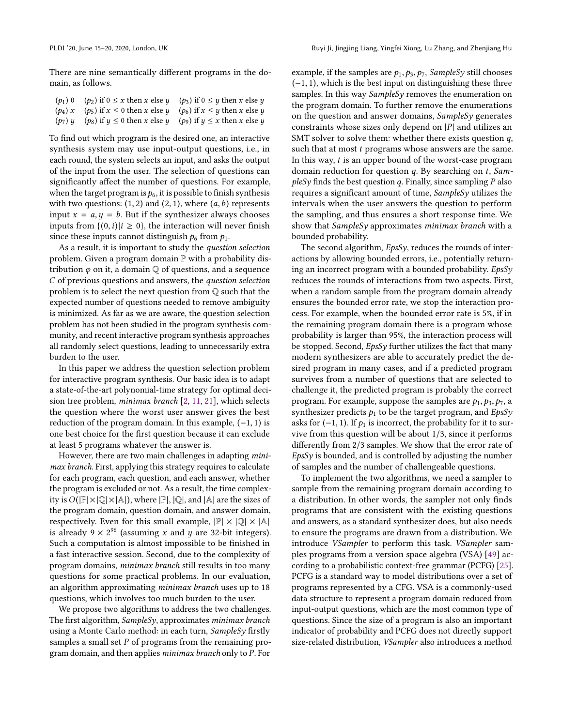There are nine semantically different programs in the domain, as follows.

| $(p_1)$ 0 $(p_2)$ if $0 \le x$ then x else y $(p_3)$ if $0 \le y$ then x else y |  |
|---------------------------------------------------------------------------------|--|
| $(p_4)$ x $(p_5)$ if $x \le 0$ then x else y $(p_6)$ if $x \le y$ then x else y |  |
| $(p_7)$ y $(p_8)$ if $y \le 0$ then x else y $(p_9)$ if $y \le x$ then x else y |  |
|                                                                                 |  |

To find out which program is the desired one, an interactive synthesis system may use input-output questions, i.e., in each round, the system selects an input, and asks the output of the input from the user. The selection of questions can significantly affect the number of questions. For example, when the target program is  $p_6$ , it is possible to finish synthesis with two questions:  $(1, 2)$  and  $(2, 1)$ , where  $(a, b)$  represents input  $x = a, y = b$ . But if the synthesizer always chooses inputs from  $\{(0,i)|i \geq 0\}$ , the interaction will never finish since these inputs cannot distinguish  $p_6$  from  $p_1$ .

As a result, it is important to study the question selection problem. Given a program domain  $\mathbb P$  with a probability distribution  $\varphi$  on it, a domain  $\mathbb Q$  of questions, and a sequence C of previous questions and answers, the question selection problem is to select the next question from Q such that the expected number of questions needed to remove ambiguity is minimized. As far as we are aware, the question selection problem has not been studied in the program synthesis community, and recent interactive program synthesis approaches all randomly select questions, leading to unnecessarily extra burden to the user.

In this paper we address the question selection problem for interactive program synthesis. Our basic idea is to adapt a state-of-the-art polynomial-time strategy for optimal decision tree problem, minimax branch [\[2,](#page-13-3) [11,](#page-13-4) [21\]](#page-14-11), which selects the question where the worst user answer gives the best reduction of the program domain. In this example,  $(-1, 1)$  is one best choice for the first question because it can exclude at least 5 programs whatever the answer is.

However, there are two main challenges in adapting minimax branch. First, applying this strategy requires to calculate for each program, each question, and each answer, whether the program is excluded or not. As a result, the time complexity is  $O(|\mathbb{P}|\times |\mathbb{Q}|\times |\mathbb{A}|)$ , where  $|\mathbb{P}|, |\mathbb{Q}|$ , and  $|\mathbb{A}|$  are the sizes of the program domain, question domain, and answer domain, respectively. Even for this small example,  $|\mathbb{P}| \times |\mathbb{Q}| \times |\mathbb{A}|$ is already  $9 \times 2^{96}$  (assuming x and y are 32-bit integers).<br>Such a computation is almost impossible to be finished in Such a computation is almost impossible to be finished in a fast interactive session. Second, due to the complexity of program domains, minimax branch still results in too many questions for some practical problems. In our evaluation, an algorithm approximating minimax branch uses up to 18 questions, which involves too much burden to the user.

We propose two algorithms to address the two challenges. The first algorithm, SampleSy, approximates minimax branch using a Monte Carlo method: in each turn, SampleSy firstly samples a small set P of programs from the remaining program domain, and then applies minimax branch only to P. For

example, if the samples are  $p_1, p_3, p_7$ , SampleSy still chooses  $(-1, 1)$ , which is the best input on distinguishing these three samples. In this way  $SampleS<sub>V</sub>$  removes the enumeration on the program domain. To further remove the enumerations on the question and answer domains, SampleSy generates constraints whose sizes only depend on  $|P|$  and utilizes an SMT solver to solve them: whether there exists question  $q$ , such that at most *t* programs whose answers are the same. In this way,  $t$  is an upper bound of the worst-case program domain reduction for question  $q$ . By searching on  $t$ , Sam $p$ leSy finds the best question q. Finally, since sampling  $P$  also requires a significant amount of time, SampleSy utilizes the intervals when the user answers the question to perform the sampling, and thus ensures a short response time. We show that SampleSy approximates minimax branch with a bounded probability.

The second algorithm, *EpsSy*, reduces the rounds of interactions by allowing bounded errors, i.e., potentially returning an incorrect program with a bounded probability. EpsSy reduces the rounds of interactions from two aspects. First, when a random sample from the program domain already ensures the bounded error rate, we stop the interaction process. For example, when the bounded error rate is 5%, if in the remaining program domain there is a program whose probability is larger than 95%, the interaction process will be stopped. Second, EpsSy further utilizes the fact that many modern synthesizers are able to accurately predict the desired program in many cases, and if a predicted program survives from a number of questions that are selected to challenge it, the predicted program is probably the correct program. For example, suppose the samples are  $p_1, p_3, p_7$ , a synthesizer predicts  $p_1$  to be the target program, and  $EpsSy$ asks for  $(-1, 1)$ . If  $p_1$  is incorrect, the probability for it to survive from this question will be about <sup>1</sup>/3, since it performs differently from <sup>2</sup>/<sup>3</sup> samples. We show that the error rate of EpsSy is bounded, and is controlled by adjusting the number of samples and the number of challengeable questions.

To implement the two algorithms, we need a sampler to sample from the remaining program domain according to a distribution. In other words, the sampler not only finds programs that are consistent with the existing questions and answers, as a standard synthesizer does, but also needs to ensure the programs are drawn from a distribution. We introduce VSampler to perform this task. VSampler samples programs from a version space algebra (VSA) [\[49\]](#page-15-4) according to a probabilistic context-free grammar (PCFG) [\[25\]](#page-14-12). PCFG is a standard way to model distributions over a set of programs represented by a CFG. VSA is a commonly-used data structure to represent a program domain reduced from input-output questions, which are the most common type of questions. Since the size of a program is also an important indicator of probability and PCFG does not directly support size-related distribution, VSampler also introduces a method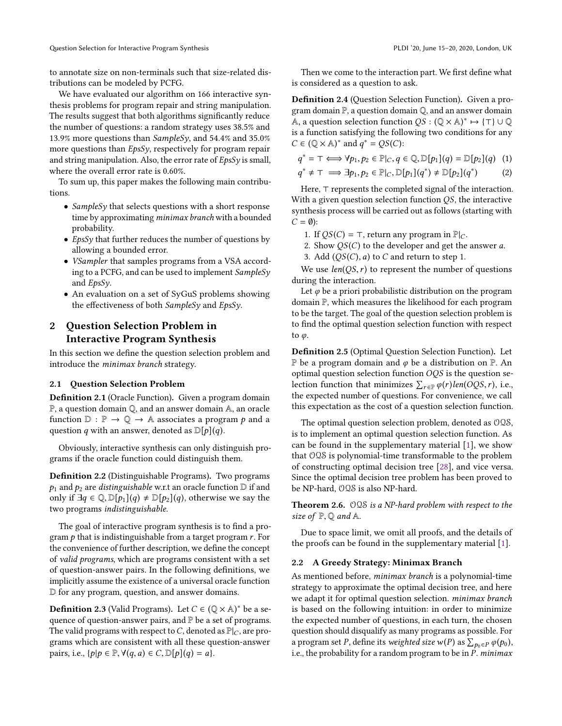to annotate size on non-terminals such that size-related distributions can be modeled by PCFG.

We have evaluated our algorithm on 166 interactive synthesis problems for program repair and string manipulation. The results suggest that both algorithms significantly reduce the number of questions: a random strategy uses 38.5% and 13.9% more questions than SampleSy, and 54.4% and 35.0% more questions than  $EpsSy$ , respectively for program repair and string manipulation. Also, the error rate of  $EpsSy$  is small, where the overall error rate is 0.60%.

To sum up, this paper makes the following main contributions.

- SampleSy that selects questions with a short response time by approximating minimax branch with a bounded probability.
- EpsSy that further reduces the number of questions by allowing a bounded error.
- *VSampler* that samples programs from a VSA according to a PCFG, and can be used to implement SampleSy and  $EpsSv$ .
- An evaluation on a set of SyGuS problems showing the effectiveness of both SampleSy and EpsSy.

# <span id="page-2-0"></span>2 Question Selection Problem in Interactive Program Synthesis

In this section we define the question selection problem and introduce the minimax branch strategy.

## 2.1 Question Selection Problem

Definition 2.1 (Oracle Function). Given a program domain P, a question domain Q, and an answer domain A, an oracle function  $\mathbb{D} : \mathbb{P} \to \mathbb{Q} \to \mathbb{A}$  associates a program p and a question q with an answer, denoted as  $\mathbb{D}[p](q)$ .

Obviously, interactive synthesis can only distinguish programs if the oracle function could distinguish them.

Definition 2.2 (Distinguishable Programs). Two programs  $p_1$  and  $p_2$  are *distinguishable* w.r.t an oracle function  $D$  if and only if  $\exists q \in \mathbb{Q}, \mathbb{D}[p_1](q) \neq \mathbb{D}[p_2](q)$ , otherwise we say the two programs indistinguishable.

The goal of interactive program synthesis is to find a program  $p$  that is indistinguishable from a target program  $r$ . For the convenience of further description, we define the concept of valid programs, which are programs consistent with a set of question-answer pairs. In the following definitions, we implicitly assume the existence of a universal oracle function D for any program, question, and answer domains.

**Definition 2.3** (Valid Programs). Let  $C \in (\mathbb{Q} \times \mathbb{A})^*$  be a se-<br>quence of question-answer pairs, and  $\mathbb{P}$  be a set of programs. quence of question-answer pairs, and  $\mathbb P$  be a set of programs. The valid programs with respect to C, denoted as  $\mathbb{P}|_C$ , are programs which are consistent with all these question-answer pairs, i.e.,  $\{p|p \in \mathbb{P}, \forall (q, a) \in C, \mathbb{D}[p](q) = a\}.$ 

Then we come to the interaction part. We first define what is considered as a question to ask.

<span id="page-2-1"></span>Definition 2.4 (Question Selection Function). Given a program domain P, a question domain Q, and an answer domain A, a question selection function  $QS : (\mathbb{Q} \times \mathbb{A})^* \mapsto {\top} \cup \mathbb{Q}$ <br>is a function satisfying the following two conditions for any is a function satisfying the following two conditions for any  $C \in (\mathbb{Q} \times \mathbb{A})^*$  and  $q^* = QS(C)$ :

$$
q^* = \top \Longleftrightarrow \forall p_1, p_2 \in \mathbb{P}|_{C}, q \in \mathbb{Q}, \mathbb{D}[p_1](q) = \mathbb{D}[p_2](q) \tag{1}
$$

$$
q^* \neq \top \implies \exists p_1, p_2 \in \mathbb{P}[c, \mathbb{D}[p_1](q^*) \neq \mathbb{D}[p_2](q^*) \tag{2}
$$

Here, ⊤ represents the completed signal of the interaction. With a given question selection function *QS*, the interactive synthesis process will be carried out as follows (starting with  $C = \emptyset$ :

- 1. If  $QS(C) = ⊤$ , return any program in  $\mathbb{P}|_C$ .
- 2. Show  $QS(C)$  to the developer and get the answer a.
- 3. Add  $(QS(C), a)$  to C and return to step 1.

We use  $len(QS, r)$  to represent the number of questions during the interaction.

Let  $\varphi$  be a priori probabilistic distribution on the program domain P, which measures the likelihood for each program to be the target. The goal of the question selection problem is to find the optimal question selection function with respect to  $\varphi$ .

Definition 2.5 (Optimal Question Selection Function). Let P be a program domain and  $\varphi$  be a distribution on P. An optimal question selection function  $OQS$  is the question selection function that minimizes  $\sum_{r \in \mathbb{P}} \varphi(r) \text{len}(OQS, r)$ , i.e., the expected number of questions. For convenience, we call this expectation as the cost of a question selection function.

The optimal question selection problem, denoted as OQS, is to implement an optimal question selection function. As can be found in the supplementary material [\[1\]](#page-13-5), we show that OQS is polynomial-time transformable to the problem of constructing optimal decision tree [\[28\]](#page-14-13), and vice versa. Since the optimal decision tree problem has been proved to be NP-hard, OQS is also NP-hard.

Theorem 2.6. OQS is a NP-hard problem with respect to the size of  $P$ ,  $Q$  and A.

Due to space limit, we omit all proofs, and the details of the proofs can be found in the supplementary material [\[1\]](#page-13-5).

#### 2.2 A Greedy Strategy: Minimax Branch

As mentioned before, minimax branch is a polynomial-time strategy to approximate the optimal decision tree, and here we adapt it for optimal question selection. minimax branch is based on the following intuition: in order to minimize the expected number of questions, in each turn, the chosen question should disqualify as many programs as possible. For a program set P, define its weighted size  $w(P)$  as  $\sum_{P_0 \in P} \varphi(p_0)$ , i.e., the probability for a random program to be in P, minimax i.e., the probability for a random program to be in P. minimax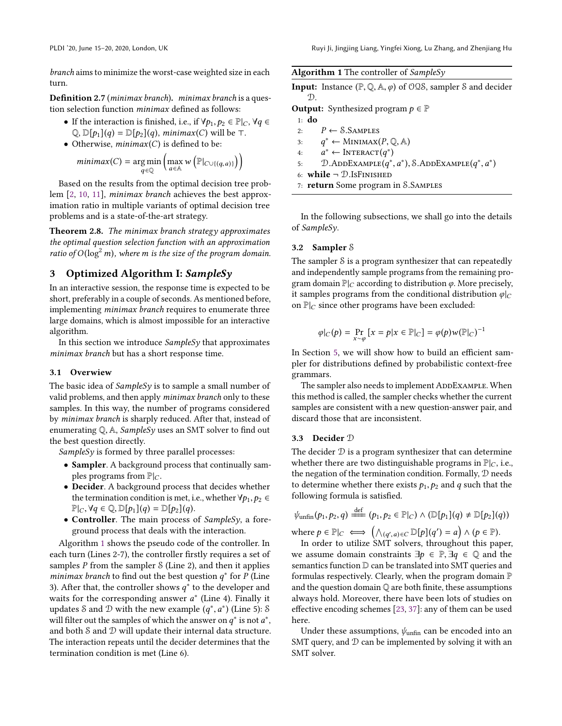branch aims to minimize the worst-case weighted size in each turn.

<span id="page-3-2"></span>Definition 2.7 (*minimax branch*). *minimax branch* is a question selection function minimax defined as follows:

- If the interaction is finished, i.e., if  $\forall p_1, p_2 \in \mathbb{P}|_C$ ,  $\forall q \in$  $\mathbb{Q}, \mathbb{D}[p_1](q) = \mathbb{D}[p_2](q)$ , minimax(C) will be ⊤.
- Otherwise,  $minimax(C)$  is defined to be:

$$
minimax(C) = \underset{q \in \mathbb{Q}}{\arg\min} \left( \underset{a \in \mathbb{A}}{\max} w\left(\mathbb{P}|_{C \cup \{(q,a)\}}\right) \right)
$$

Based on the results from the optimal decision tree problem [\[2,](#page-13-3) [10,](#page-13-6) [11\]](#page-13-4), minimax branch achieves the best approximation ratio in multiple variants of optimal decision tree problems and is a state-of-the-art strategy.

Theorem 2.8. The minimax branch strategy approximates the optimal question selection function with an approximation ratio of  $O(\log^2 m)$ , where m is the size of the program domain.

## 3 Optimized Algorithm I: SampleSy

In an interactive session, the response time is expected to be short, preferably in a couple of seconds. As mentioned before, implementing minimax branch requires to enumerate three large domains, which is almost impossible for an interactive algorithm.

In this section we introduce  $SampleSy$  that approximates minimax branch but has a short response time.

#### 3.1 Overwiew

The basic idea of *SampleSy* is to sample a small number of valid problems, and then apply minimax branch only to these samples. In this way, the number of programs considered by minimax branch is sharply reduced. After that, instead of enumerating  $\mathbb{Q}$ , A, *SampleSy* uses an SMT solver to find out the best question directly.

SampleSy is formed by three parallel processes:

- Sampler. A background process that continually samples programs from  $\mathbb{P}|_C$ .
- Decider. A background process that decides whether the termination condition is met, i.e., whether  $\forall p_1, p_2 \in$  $\mathbb{P}|_C, \forall q \in \mathbb{Q}, \mathbb{D}[p_1](q) = \mathbb{D}[p_2](q).$
- Controller. The main process of SampleSy, a foreground process that deals with the interaction.

Algorithm [1](#page-3-0) shows the pseudo code of the controller. In each turn (Lines 2-7), the controller firstly requires a set of samples  $P$  from the sampler  $S$  (Line 2), and then it applies *minimax branch* to find out the best question  $q^*$  for P (Line 3) After that the controller shows  $q^*$  to the developer and 3). After that, the controller shows  $q^*$  to the developer and waits for the corresponding answer  $q^*$  (I ine 4). Finally it waits for the corresponding answer  $a^*$  (Line 4). Finally it undates  $\delta$  and  $\mathcal{D}$  with the new example  $(a^*, a^*)$  (Line 5);  $\delta$ updates S and D with the new example  $(q^*, a^*)$  (Line 5): S<br>will filter out the samples of which the answer on  $q^*$  is not  $a^*$ will filter out the samples of which the answer on  $q^*$  is not  $a^*$ ,<br>and both S and D will undate their internal data structure and both  $S$  and  $D$  will update their internal data structure. The interaction repeats until the decider determines that the termination condition is met (Line 6).

<span id="page-3-0"></span>

|  | Algorithm 1 The controller of SampleSy |
|--|----------------------------------------|
|  |                                        |

| <b>Input:</b> Instance $(\mathbb{P}, \mathbb{Q}, \mathbb{A}, \varphi)$ of $\mathcal{OQS}$ , sampler S and decider<br>D. |
|-------------------------------------------------------------------------------------------------------------------------|
| <b>Output:</b> Synthesized program $p \in \mathbb{P}$                                                                   |
| 1: $do$                                                                                                                 |
| $P \leftarrow$ S.SAMPLES<br>2:                                                                                          |
| 3: $q^* \leftarrow \text{MINIMAX}(P, \mathbb{Q}, \mathbb{A})$                                                           |
| 4: $a^* \leftarrow \text{INTERACT}(q^*)$                                                                                |
| $D$ .ADDEXAMPLE $(q^*, a^*)$ , S.ADDEXAMPLE $(q^*, a^*)$<br>5:                                                          |
| 6: while $\neg$ D. Is FINISHED                                                                                          |
| 7: return Some program in S.SAMPLES                                                                                     |
|                                                                                                                         |

In the following subsections, we shall go into the details of SampleSy.

## 3.2 Sampler S

The sampler S is a program synthesizer that can repeatedly and independently sample programs from the remaining program domain  $\mathbb{P}|_C$  according to distribution  $\varphi$ . More precisely, it samples programs from the conditional distribution  $\varphi|_C$ on  $\mathbb{P}|_C$  since other programs have been excluded:

$$
\varphi|_C(p) = \Pr_{x \sim \varphi} [x = p | x \in \mathbb{P}|_C] = \varphi(p) w(\mathbb{P}|_C)^{-1}
$$

In Section [5,](#page-7-0) we will show how to build an efficient sampler for distributions defined by probabilistic context-free grammars.

The sampler also needs to implement ADDEXAMPLE. When this method is called, the sampler checks whether the current samples are consistent with a new question-answer pair, and discard those that are inconsistent.

#### <span id="page-3-1"></span>3.3 Decider D

The decider  $D$  is a program synthesizer that can determine whether there are two distinguishable programs in  $\mathbb{P}|_C$ , i.e., the negation of the termination condition. Formally, D needs to determine whether there exists  $p_1, p_2$  and q such that the following formula is satisfied.

$$
\psi_{\text{unfin}}(p_1, p_2, q) \stackrel{\text{def}}{\equiv} (p_1, p_2 \in \mathbb{P}|_C) \wedge (\mathbb{D}[p_1](q) \neq \mathbb{D}[p_2](q))
$$

where  $p \in \mathbb{P}|_C \iff (\bigwedge_{(q',q)\in C} \mathbb{D}[p](q') = a) \land (p \in \mathbb{P}).$ <br>In order to utilize SMT colvers throughout this pay

In order to utilize  $\overline{SMT}$  solvers, throughout this paper, we assume domain constraints  $\exists p \in \mathbb{P}, \exists q \in \mathbb{Q}$  and the semantics function  $D$  can be translated into SMT queries and formulas respectively. Clearly, when the program domain P and the question domain  $\mathbb Q$  are both finite, these assumptions always hold. Moreover, there have been lots of studies on effective encoding schemes [\[23,](#page-14-14) [37\]](#page-14-15): any of them can be used here.

Under these assumptions,  $\psi_{\text{unfin}}$  can be encoded into an SMT query, and  $D$  can be implemented by solving it with an SMT solver.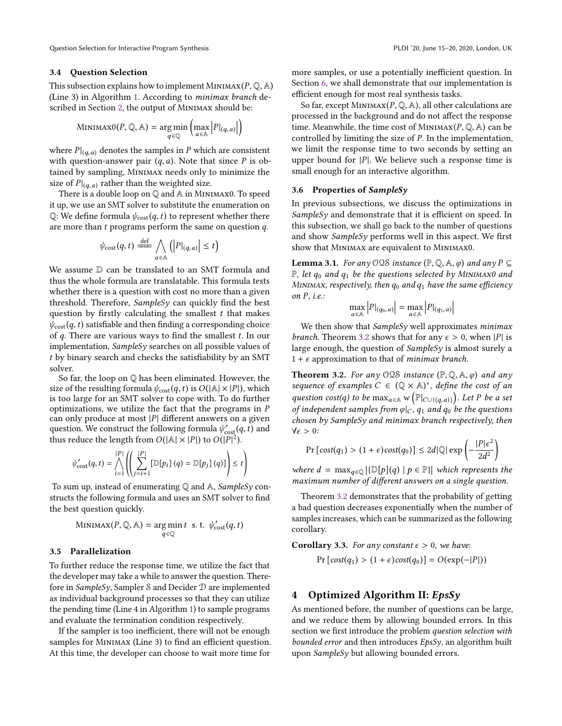#### 3.4 Question Selection

This subsection explains how to implement MINIMAX( $P$ ,  $\mathbb{Q}$ , A) (Line 3) in Algorithm [1.](#page-3-0) According to minimax branch de-scribed in Section [2,](#page-2-0) the output of MINIMAX should be:

$$
\text{MinimaxO}(P, \mathbb{Q}, \mathbb{A}) = \underset{q \in \mathbb{Q}}{\text{arg min}} \left( \underset{a \in \mathbb{A}}{\text{max}} |P|_{(q, a)} | \right)
$$

where  $P|_{(q,a)}$  denotes the samples in P which are consistent<br>with question-answer pair  $(a, a)$ . Note that since P is obwith question-answer pair  $(q, a)$ . Note that since P is obtained by sampling, Minimax needs only to minimize the size of  $P|_{(q,a)}$  rather than the weighted size.<br>There is a double loop on  $\mathbb{Q}$  and  $\mathbb{A}$  in MINI

There is a double loop on Q and A in Minimax0. To speed it up, we use an SMT solver to substitute the enumeration on Q: We define formula  $\psi_{\text{cost}}(q, t)$  to represent whether there are more than t programs perform the same on question q.

$$
\psi_{\text{cost}}(q, t) \stackrel{\text{def}}{\equiv} \bigwedge_{a \in \mathbb{A}} \left( |P|_{(q, a)} \right| \leq t \right)
$$

We assume  $D$  can be translated to an SMT formula and thus the whole formula are translatable. This formula tests whether there is a question with cost no more than a given threshold. Therefore, SampleSy can quickly find the best question by firstly calculating the smallest  $t$  that makes  $\psi_{\text{cost}}(q, t)$  satisfiable and then finding a corresponding choice of  $q$ . There are various ways to find the smallest  $t$ . In our implementation, SampleSy searches on all possible values of t by binary search and checks the satisfiability by an SMT solver.

So far, the loop on Q has been eliminated. However, the size of the resulting formula  $\psi_{\text{cost}}(q, t)$  is  $O(|A| \times |P|)$ , which is too large for an SMT solver to cope with. To do further optimizations, we utilize the fact that the programs in P can only produce at most  $|P|$  different answers on a given question. We construct the following formula  $\psi'_{\text{cost}}(q, t)$  and thus reduce the length from  $O(|A| \times |P|)$  to  $O(|P|^2)$ thus reduce the length from  $O(|A| \times |P|)$  to  $O(|P|^2)$ .

$$
\psi'_{\text{cost}}(q, t) = \bigwedge_{i=1}^{|P|} \left( \left( \sum_{j=i+1}^{|P|} \left[ \mathbb{D}[p_i] \right] (q) = \mathbb{D}[p_j] \right] (q) \right) \leq t \right)
$$

To sum up, instead of enumerating  $\mathbb Q$  and  $\mathbb A$ , SampleSy constructs the following formula and uses an SMT solver to find the best question quickly.

$$
\text{MINIMAX}(P, \mathbb{Q}, \mathbb{A}) = \underset{q \in \mathbb{Q}}{\text{arg min}} \, t \quad \text{s. t.} \quad \psi_{\text{cost}}'(q, t)
$$

#### 3.5 Parallelization

To further reduce the response time, we utilize the fact that the developer may take a while to answer the question. Therefore in SampleSy, Sampler S and Decider D are implemented as individual background processes so that they can utilize the pending time (Line 4 in Algorithm [1\)](#page-3-0) to sample programs and evaluate the termination condition respectively.

If the sampler is too inefficient, there will not be enough samples for MINIMAX (Line 3) to find an efficient question. At this time, the developer can choose to wait more time for

more samples, or use a potentially inefficient question. In Section [6,](#page-8-0) we shall demonstrate that our implementation is efficient enough for most real synthesis tasks.

So far, except MINIMAX $(P, \mathbb{Q}, \mathbb{A})$ , all other calculations are processed in the background and do not affect the response time. Meanwhile, the time cost of MINIMAX $(P, \mathbb{Q}, A)$  can be controlled by limiting the size of P. In the implementation, we limit the response time to two seconds by setting an upper bound for  $|P|$ . We believe such a response time is small enough for an interactive algorithm.

#### 3.6 Properties of SampleSy

In previous subsections, we discuss the optimizations in  $SampleSy$  and demonstrate that it is efficient on speed. In this subsection, we shall go back to the number of questions and show SampleSy performs well in this aspect. We first show that Minimax are equivalent to Minimax0.

**Lemma 3.1.** For any OQS instance  $(\mathbb{P}, \mathbb{Q}, \mathbb{A}, \varphi)$  and any  $P \subseteq$  $\mathbb{P}$ , let  $q_0$  and  $q_1$  be the questions selected by MINIMAX0 and MINIMAX, respectively, then  $q_0$  and  $q_1$  have the same efficiency on  $P$ , *i.e.*:  $\overline{1}$  $\overline{1}$  $\overline{1}$  $\overline{1}$ 

$$
\max_{a \in \mathbb{A}} |P|_{(q_0, a)} = \max_{a \in \mathbb{A}} |P|_{(q_1, a)}|
$$

We then show that  $SampleSy$  well approximates *minimax branch*. Theorem [3.2](#page-4-0) shows that for any  $\epsilon > 0$ , when |P| is large enough, the question of SampleSy is almost surely a  $1 + \epsilon$  approximation to that of *minimax branch*.

<span id="page-4-0"></span>**Theorem 3.2.** For any  $OQS$  instance  $(P, Q, A, \varphi)$  and any sequence of examples  $C \in (\mathbb{Q} \times \mathbb{A})^*$ , define the cost of an exaction social to be more  $\mathbb{Q} \times \mathbb{A}$ . question  $cost(q)$  to be  $\max_{a \in A} w(\mathbb{P}|c \cup ((q,a)))$ . Let P be a set<br>of independent samples from alg. a, and a, he the questions of independent samples from  $\varphi|_C$ ,  $q_1$  and  $q_0$  be the questions chosen by SampleSy and minimax branch respectively, then  $\forall \epsilon > 0$ :

$$
\Pr\left[\text{cost}(q_1) > (1+\epsilon)\text{cost}(q_0)\right] \le 2d |\mathbb{Q}| \exp\left(-\frac{|P|\epsilon^2}{2d^2}\right)
$$

where  $d = \max_{q \in \mathbb{Q}} |\{\mathbb{D}[p](q) \mid p \in \mathbb{P}\}|$  which represents the maximum number of different answers on a single question maximum number of different answers on a single question.

Theorem [3.2](#page-4-0) demonstrates that the probability of getting a bad question decreases exponentially when the number of samples increases, which can be summarized as the following corollary.

**Corollary 3.3.** For any constant  $\epsilon > 0$ , we have:  $Pr[cost(q_1) > (1 + \epsilon)cost(q_0)] = O(exp(-|P|))$ 

## 4 Optimized Algorithm II:  $EpsSv$

As mentioned before, the number of questions can be large, and we reduce them by allowing bounded errors. In this section we first introduce the problem question selection with bounded error and then introduces  $EpsSv$ , an algorithm built upon  $SampleSy$  but allowing bounded errors.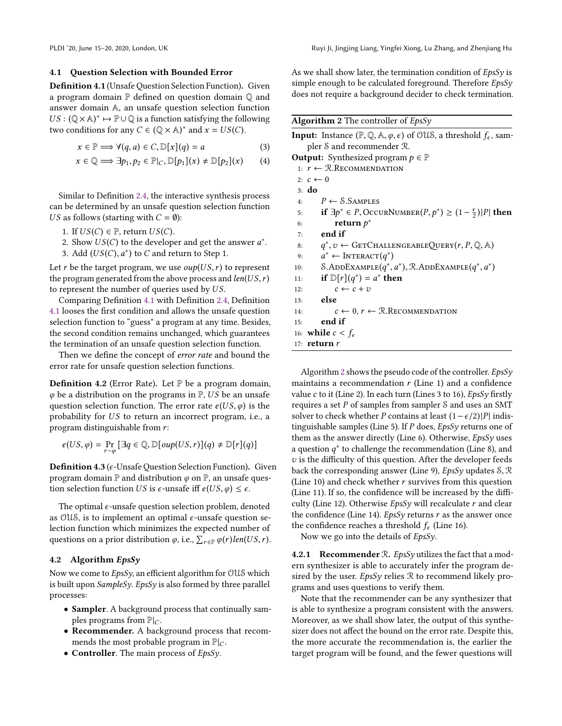#### 4.1 Question Selection with Bounded Error

Definition 4.1 (Unsafe Question Selection Function). Given a program domain P defined on question domain Q and answer domain A, an unsafe question selection function  $US : (\mathbb{Q} \times \mathbb{A})^* \mapsto \mathbb{P} \cup \mathbb{Q}$  is a function satisfying the following<br>two conditions for any  $C \in (\mathbb{Q} \times \mathbb{A})^*$  and  $x = US(C)$ two conditions for any  $C \in (\mathbb{Q} \times \mathbb{A})^*$  and  $x = US(C)$ .

$$
x \in \mathbb{P} \Longrightarrow \forall (q, a) \in C, \mathbb{D}[x](q) = a \tag{3}
$$

$$
x \in \mathbb{Q} \Longrightarrow \exists p_1, p_2 \in \mathbb{P}|_C, \mathbb{D}[p_1](x) \neq \mathbb{D}[p_2](x) \qquad (4)
$$

Similar to Definition [2.4,](#page-2-1) the interactive synthesis process can be determined by an unsafe question selection function US as follows (starting with  $C = \emptyset$ ):

- 1. If  $US(C) \in \mathbb{P}$ , return  $US(C)$ .
- 2. Show  $US(C)$  to the developer and get the answer  $a^*$ .<br>3. Add  $(US(C), a^*)$  to C and return to Step 1
- 3. Add  $(US(C), a^*)$  to C and return to Step 1.

Let r be the target program, we use  $oup(US, r)$  to represent the program generated from the above process and  $len(US, r)$ to represent the number of queries used by US.

Comparing Definition [4.1](#page-5-0) with Definition [2.4,](#page-2-1) Definition [4.1](#page-5-0) looses the first condition and allows the unsafe question selection function to "guess" a program at any time. Besides, the second condition remains unchanged, which guarantees the termination of an unsafe question selection function.

Then we define the concept of error rate and bound the error rate for unsafe question selection functions.

**Definition 4.2** (Error Rate). Let  $\mathbb P$  be a program domain,  $\varphi$  be a distribution on the programs in  $\mathbb{P}$ , US be an unsafe question selection function. The error rate  $e(US, \varphi)$  is the probability for US to return an incorrect program, i.e., a program distinguishable from r:

$$
e(US, \varphi) = \Pr_{r \sim \varphi} \left[ \exists q \in \mathbb{Q}, \mathbb{D}[\text{oup}(US, r)](q) \neq \mathbb{D}[r](q) \right]
$$

**Definition 4.3** ( $\epsilon$ -Unsafe Question Selection Function). Given program domain  $\mathbb P$  and distribution  $\varphi$  on  $\mathbb P$ , an unsafe question selection function US is  $\epsilon$ -unsafe iff  $e(US, \varphi) \leq \epsilon$ .

The optimal  $\epsilon$ -unsafe question selection problem, denoted as OUS, is to implement an optimal  $\epsilon$ -unsafe question selection function which minimizes the expected number of questions on a prior distribution  $\varphi$ , i.e.,  $\sum_{r \in \mathbb{P}} \varphi(r) \text{len}(US, r)$ .

## 4.2 Algorithm EpsSy

Now we come to  $EpsSy$ , an efficient algorithm for OUS which is built upon SampleSy. EpsSy is also formed by three parallel processes:

- Sampler. A background process that continually samples programs from  $\mathbb{P}|_C$ .
- Recommender. A background process that recommends the most probable program in  $\mathbb{P}|_C$ .
- Controller. The main process of *EpsSy*.

As we shall show later, the termination condition of  $EpsSv$  is simple enough to be calculated foreground. Therefore  $EpsSv$ does not require a background decider to check termination.

<span id="page-5-1"></span>Algorithm 2 The controller of  $EpsSv$ 

<span id="page-5-0"></span>

| <b>Input:</b> Instance $(\mathbb{P}, \mathbb{Q}, \mathbb{A}, \varphi, \epsilon)$ of OUS, a threshold $f_{\epsilon}$ , sam- |
|----------------------------------------------------------------------------------------------------------------------------|
| pler S and recommender R.                                                                                                  |
| <b>Output:</b> Synthesized program $p \in \mathbb{P}$                                                                      |
| 1: $r \leftarrow \text{R}$ . Recommendation                                                                                |
| 2: $c \leftarrow 0$                                                                                                        |
| $3:$ do                                                                                                                    |
| $P \leftarrow$ S.Samples<br>4:                                                                                             |
| <b>if</b> ∃ $p^*$ ∈ P, OccurNumber(P, $p^*$ ) ≥ (1 – $\frac{\epsilon}{2}$ ) P  <b>then</b><br>5:                           |
| return $p^*$<br>6:                                                                                                         |
| end if<br>7:                                                                                                               |
| $q^*, v \leftarrow$ GETCHALLENGEABLEQUERY $(r, P, \mathbb{Q}, \mathbb{A})$<br>8:                                           |
| $a^* \leftarrow \text{INTERACT}(q^*)$<br>9:                                                                                |
| S.ADDEXAMPLE $(q^*, a^*)$ , R.ADDEXAMPLE $(q^*, a^*)$<br>10:                                                               |
| if $\mathbb{D}[r](q^*) = a^*$ then<br>11:                                                                                  |
| $c \leftarrow c + v$<br>12:                                                                                                |
| else<br>13:                                                                                                                |
| $c \leftarrow 0, r \leftarrow \text{R}$ . Recommendation<br>14:                                                            |
| end if<br>15:                                                                                                              |
| 16: while $c < f_{\epsilon}$                                                                                               |
| 17: $return r$                                                                                                             |
|                                                                                                                            |

Algorithm [2](#page-5-1) shows the pseudo code of the controller.  $EpsSy$ maintains a recommendation  $r$  (Line 1) and a confidence value c to it (Line 2). In each turn (Lines 3 to 16),  $EpsSy$  firstly requires a set  $P$  of samples from sampler  $S$  and uses an SMT solver to check whether P contains at least  $(1 - \epsilon/2)|P|$  indistinguishable samples (Line 5). If  $P$  does,  $EpsSy$  returns one of them as the answer directly (Line 6). Otherwise,  $EpsSv$  uses a question  $q^*$  to challenge the recommendation (Line 8), and  $q_i$  is the difficulty of this question. After the developer feeds  $v$  is the difficulty of this question. After the developer feeds back the corresponding answer (Line 9),  $EpsSv$  updates  $S, \mathcal{R}$ (Line 10) and check whether  $r$  survives from this question (Line 11). If so, the confidence will be increased by the difficulty (Line 12). Otherwise  $EpsSy$  will recalculate  $r$  and clear the confidence (Line 14). EpsSy returns  $r$  as the answer once the confidence reaches a threshold  $f_{\epsilon}$  (Line 16).

Now we go into the details of  $EpsSy$ .

4.2.1 Recommender  $\Re$ . *EpsSy* utilizes the fact that a modern synthesizer is able to accurately infer the program desired by the user. EpsSy relies  $R$  to recommend likely programs and uses questions to verify them.

Note that the recommender can be any synthesizer that is able to synthesize a program consistent with the answers. Moreover, as we shall show later, the output of this synthesizer does not affect the bound on the error rate. Despite this, the more accurate the recommendation is, the earlier the target program will be found, and the fewer questions will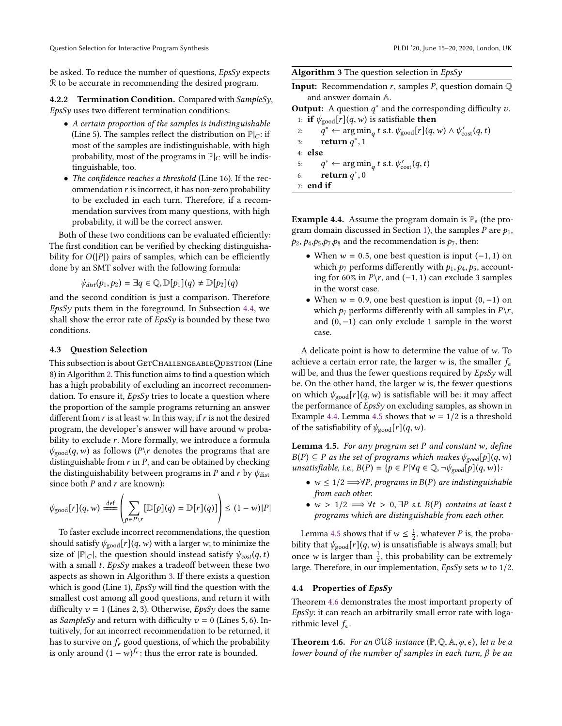be asked. To reduce the number of questions, EpsSy expects R to be accurate in recommending the desired program.

4.2.2 Termination Condition. Compared with SampleSy, EpsSy uses two different termination conditions:

- A certain proportion of the samples is indistinguishable (Line 5). The samples reflect the distribution on  $\mathbb{P}|_C$ : if most of the samples are indistinguishable, with high probability, most of the programs in  $\mathbb{P}|_C$  will be indistinguishable, too.
- The confidence reaches a threshold (Line 16). If the recommendation  $r$  is incorrect, it has non-zero probability to be excluded in each turn. Therefore, if a recommendation survives from many questions, with high probability, it will be the correct answer.

Both of these two conditions can be evaluated efficiently: The first condition can be verified by checking distinguishability for  $O(|P|)$  pairs of samples, which can be efficiently done by an SMT solver with the following formula:

 $\psi_{dist}(p_1,p_2) = \exists q \in \mathbb{Q}, \mathbb{D}[p_1](q) \neq \mathbb{D}[p_2](q)$ 

and the second condition is just a comparison. Therefore  $EpsSv$  puts them in the foreground. In Subsection [4.4,](#page-6-0) we shall show the error rate of  $EpsSv$  is bounded by these two conditions.

#### 4.3 Question Selection

This subsection is about GETCHALLENGEABLEQUESTION (Line 8) in Algorithm [2.](#page-5-1) This function aims to find a question which has a high probability of excluding an incorrect recommendation. To ensure it,  $EpsSy$  tries to locate a question where the proportion of the sample programs returning an answer different from  $r$  is at least w. In this way, if  $r$  is not the desired program, the developer's answer will have around w probability to exclude r. More formally, we introduce a formula  $\psi_{\text{good}}(q, w)$  as follows  $(P \backslash r)$  denotes the programs that are distinguishable from  $r$  in  $P$ , and can be obtained by checking the distinguishability between programs in P and r by  $\psi_{\text{dist}}$ since both  $P$  and  $r$  are known):

$$
\psi_{\text{good}}[r](q, w) \stackrel{\text{def}}{=\!\!=} \left( \sum_{p \in P \setminus r} [\mathbb{D}[p](q) = \mathbb{D}[r](q)] \right) \leq (1 - w)|P|
$$

To faster exclude incorrect recommendations, the question should satisfy  $\psi_{\text{good}}[r](q, w)$  with a larger w; to minimize the size of  $|\mathbb{P}|_C$ , the question should instead satisfy  $\psi_{cost}(q, t)$ with a small  $t$ . EpsSy makes a tradeoff between these two aspects as shown in Algorithm [3.](#page-6-1) If there exists a question which is good (Line 1),  $EpsSy$  will find the question with the smallest cost among all good questions, and return it with difficulty  $v = 1$  (Lines 2, 3). Otherwise, *EpsSy* does the same as SampleSy and return with difficulty  $v = 0$  (Lines 5, 6). Intuitively, for an incorrect recommendation to be returned, it has to survive on  $f_{\epsilon}$  good questions, of which the probability is only around  $(1 - w)^{f_e}$ : thus the error rate is bounded.

<span id="page-6-1"></span>

| Algorithm 3 The question selection in EpsSy |  |  |  |
|---------------------------------------------|--|--|--|
|                                             |  |  |  |

**Input:** Recommendation  $r$ , samples  $P$ , question domain  $Q$ and answer domain A.

**Output:** A question  $q^*$  and the corresponding difficulty v.<br>
<sup>1</sup> if  $\psi$  is  $\text{tr}[(q, w)]$  is satisfiable then

1: **if**  $\psi_{\text{good}}[r](q, w)$  is satisfiable **then**<br>2:  $q^* \leftarrow \arg \min_{q} t \text{ s.t. } \psi_{\text{good}}[r](q, w)$ 2:  $q^* \leftarrow \argmin$ <br>3: return  $q^*$  1 q t s.t.  $\psi_{\text{good}}[r](q, w) \wedge \psi_{\text{cost}}'(q, t)$ 3: return  $q^*$ , 1 4: else 5:  $q^*$  ← arg min<br>6: **return**  $q^*$  0  $_q$ t s.t.  $\psi_{\text{cost}}'(q, t)$ 6: return  $q^*$ , 0<br>  $q^*$ , and if 7: end if

<span id="page-6-2"></span>**Example 4.4.** Assume the program domain is  $\mathbb{P}_e$  (the pro-gram domain discussed in Section [1\)](#page-0-0), the samples P are  $p_1$ ,  $p_2$ ,  $p_4$ ,  $p_5$ ,  $p_7$ ,  $p_8$  and the recommendation is  $p_7$ , then:

- When  $w = 0.5$ , one best question is input  $(-1, 1)$  on which  $p_7$  performs differently with  $p_1, p_4, p_5$ , accounting for 60% in  $P\$ r, and (−1, 1) can exclude 3 samples in the worst case.
- When  $w = 0.9$ , one best question is input  $(0, -1)$  on which  $p_7$  performs differently with all samples in  $P\Y$ , and (0, <sup>−</sup>1) can only exclude <sup>1</sup> sample in the worst case.

A delicate point is how to determine the value of  $w$ . To achieve a certain error rate, the larger w is, the smaller  $f_{\epsilon}$ will be, and thus the fewer questions required by EpsSy will be. On the other hand, the larger  $w$  is, the fewer questions on which  $\psi_{\text{good}}[r](q, w)$  is satisfiable will be: it may affect the performance of EpsSy on excluding samples, as shown in Example [4.4.](#page-6-2) Lemma [4.5](#page-6-3) shows that  $w = 1/2$  is a threshold of the satisfiability of  $\psi_{\text{good}}[r](q, w)$ .

<span id="page-6-3"></span>**Lemma 4.5.** For any program set  $P$  and constant w, define  $B(P) \subseteq P$  as the set of programs which makes  $\psi_{good}[p](q, w)$ unsatisfiable, i.e.,  $B(P) = \{p \in P | \forall q \in \mathbb{Q}, \neg \psi_{good}[p](q, w)\}\$ :

- $w \leq 1/2 \Longrightarrow \forall P$ , programs in  $B(P)$  are indistinguishable from each other.
- $w > 1/2 \implies \forall t > 0, \exists P \text{ s.t. } B(P) \text{ contains at least } t$ programs which are distinguishable from each other.

Lemma [4.5](#page-6-3) shows that if  $w \leq \frac{1}{2}$ , whatever P is, the proba-<br>ity that  $w = \frac{\Gamma(1)}{2}$  (i.e., w) is unsatisfiable is always small; but bility that  $\psi_{\text{good}}[r](q, w)$  is unsatisfiable is always small; but once w is larger than  $\frac{1}{2}$ , this probability can be extremely large. Therefore, in our implementation, EnsSy sets w to 1/2 large. Therefore, in our implementation,  $EpsSy$  sets w to  $1/2$ .

#### <span id="page-6-0"></span>4.4 Properties of EpsSy

Theorem [4.6](#page-6-4) demonstrates the most important property of EpsSy: it can reach an arbitrarily small error rate with logarithmic level  $f_{\epsilon}$ .

<span id="page-6-4"></span>**Theorem 4.6.** For an OUS instance  $(\mathbb{P}, \mathbb{Q}, \mathbb{A}, \varphi, \epsilon)$ , let n be a lower bound of the number of samples in each turn,  $β$  be an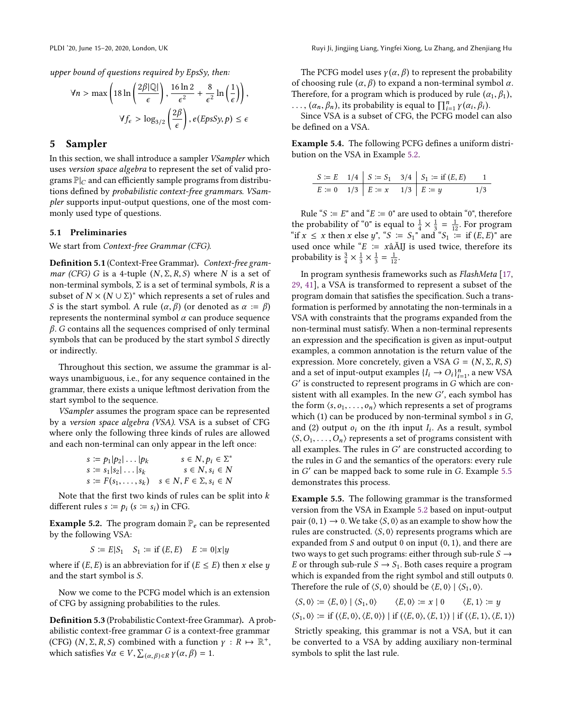upper bound of questions required by EpsSy, then:

$$
\forall n > \max\left(18\ln\left(\frac{2\beta |\mathbb{Q}|}{\epsilon}\right), \frac{16\ln 2}{\epsilon^2} + \frac{8}{\epsilon^2}\ln\left(\frac{1}{\epsilon}\right)\right),\,
$$

$$
\forall f_{\epsilon} > \log_{3/2}\left(\frac{2\beta}{\epsilon}\right), e(EpsSy, p) \le \epsilon
$$

## <span id="page-7-0"></span>5 Sampler

In this section, we shall introduce a sampler VSampler which uses version space algebra to represent the set of valid programs  $\mathbb{P}|_C$  and can efficiently sample programs from distributions defined by probabilistic context-free grammars. VSampler supports input-output questions, one of the most commonly used type of questions.

## 5.1 Preliminaries

We start from Context-free Grammar (CFG).

Definition 5.1 (Context-Free Grammar). Context-free grammar (CFG) G is a 4-tuple  $(N, \Sigma, R, S)$  where N is a set of non-terminal symbols,  $Σ$  is a set of terminal symbols,  $R$  is a subset of  $N \times (N \cup \Sigma)^*$  which represents a set of rules and  $S$  is the start symbol. A rule  $(\alpha, \beta)$  (or denoted as  $\alpha \coloneq \beta$ ) S is the start symbol. A rule  $(\alpha, \beta)$  (or denoted as  $\alpha := \beta$ ) represents the nonterminal symbol  $\alpha$  can produce sequence  $\beta$ . G contains all the sequences comprised of only terminal symbols that can be produced by the start symbol S directly or indirectly.

Throughout this section, we assume the grammar is always unambiguous, i.e., for any sequence contained in the grammar, there exists a unique leftmost derivation from the start symbol to the sequence.

VSampler assumes the program space can be represented by a version space algebra (VSA). VSA is a subset of CFG where only the following three kinds of rules are allowed and each non-terminal can only appear in the left once:

$$
s := p_1|p_2|\dots|p_k \qquad s \in N, p_i \in \Sigma^*
$$
  
\n
$$
s := s_1|s_2|\dots|s_k \qquad s \in N, s_i \in N
$$
  
\n
$$
s := F(s_1, \dots, s_k) \qquad s \in N, F \in \Sigma, s_i \in N
$$

Note that the first two kinds of rules can be split into  $k$ different rules  $s := p_i$  ( $s := s_i$ ) in CFG.

<span id="page-7-1"></span>**Example 5.2.** The program domain  $\mathbb{P}_e$  can be represented by the following VSA:

 $S := E|S_1 \ S_1 := \text{if } (E, E) \ E := 0|x|y$ 

where if  $(E, E)$  is an abbreviation for if  $(E \le E)$  then x else y and the start symbol is S.

Now we come to the PCFG model which is an extension of CFG by assigning probabilities to the rules.

Definition 5.3 (Probabilistic Context-free Grammar). A probabilistic context-free grammar G is a context-free grammar (CFG)  $(N, \Sigma, R, S)$  combined with a function  $\gamma : R \mapsto \mathbb{R}^+$ ,<br>which satisfies  $\forall \alpha \in V$ ,  $\Sigma_{\alpha} = \gamma(\alpha, \beta) = 1$ which satisfies  $\forall \alpha \in V$ ,  $\sum_{(\alpha,\beta)\in R} \gamma(\alpha,\beta) = 1$ .

The PCFG model uses  $y(\alpha, \beta)$  to represent the probability of choosing rule  $(\alpha, \beta)$  to expand a non-terminal symbol  $\alpha$ . Therefore, for a program which is produced by rule  $(\alpha_1, \beta_1)$ ,

...,  $(\alpha_n, \beta_n)$ , its probability is equal to  $\prod_{i=1}^n \gamma(\alpha_i, \beta_i)$ .<br>Since VSA is a subset of CEG, the PCEG model can  $\sum_{i=1}^{\infty}$  (αi),  $\sum_{i=1}^{\infty}$  is a subset of CFG, the PCFG model can also be defined on a VSA.

<span id="page-7-3"></span>Example 5.4. The following PCFG defines a uniform distribution on the VSA in Example [5.2.](#page-7-1)

$$
\begin{array}{c|ccccc}\nS := E & 1/4 & S := S_1 & 3/4 & S_1 := \text{if } (E, E) \\
\hline\nE := 0 & 1/3 & E := x & 1/3 & E := y & 1/3\n\end{array}
$$

Rule " $S \coloneqq E$ " and " $E \coloneqq 0$ " are used to obtain "0", therefore the probability of "0" is equal to  $\frac{1}{4} \times \frac{1}{3} = \frac{1}{12}$ . For program "if  $x \le x$  then x else y", " $S := S_1$ " and " $S_1 := \text{if } (E, E)$ " are used once while " $E := x\hat{a}$ AIJ is used twice, therefore its probability is  $\frac{3}{4} \times \frac{1}{3} \times \frac{1}{3} = \frac{1}{12}$ .

In program synthesis frameworks such as FlashMeta [\[17,](#page-14-1) [29,](#page-14-16) [41\]](#page-14-17), a VSA is transformed to represent a subset of the program domain that satisfies the specification. Such a transformation is performed by annotating the non-terminals in a VSA with constraints that the programs expanded from the non-terminal must satisfy. When a non-terminal represents an expression and the specification is given as input-output examples, a common annotation is the return value of the expression. More concretely, given a VSA  $G = (N, \Sigma, R, S)$ and a set of input-output examples  $\{I_i \rightarrow O_i\}_{i=1}^n$ , a new VSA  $G'$  is constructed to represent programs in G which are conid a set of input-output examples  $\{I_i \rightarrow O_i\}_{i=1}^n$ , a new VSA<br>' is constructed to represent programs in G which are con-<br>stent with all examples. In the new G', each symbol has sistent with all examples. In the new G', each symbol has the form  $\langle s, o_1, \ldots, o_n \rangle$  which represents a set of programs which (1) can be produced by non-terminal symbol s in G, and (2) output  $o_i$  on the *i*th input  $I_i$ . As a result, symbol  $\langle S, O_i \rangle$  convergents a set of programs consistent with  $\langle S, O_1, \ldots, O_n \rangle$  represents a set of programs consistent with all examples. The rules in  $G'$  are constructed according to the rules in  $G$  and the semantics of the operators; every rule the rules in G and the semantics of the operators: every rule in G ′ can be mapped back to some rule in G. Example [5.5](#page-7-2) demonstrates this process.

<span id="page-7-2"></span>Example 5.5. The following grammar is the transformed version from the VSA in Example [5.2](#page-7-1) based on input-output pair  $(0, 1) \rightarrow 0$ . We take  $\langle S, 0 \rangle$  as an example to show how the rules are constructed.  $\langle S, 0 \rangle$  represents programs which are expanded from  $S$  and output 0 on input  $(0, 1)$ , and there are two ways to get such programs: either through sub-rule  $S \rightarrow$ E or through sub-rule  $S \rightarrow S_1$ . Both cases require a program which is expanded from the right symbol and still outputs 0. Therefore the rule of  $\langle S, 0 \rangle$  should be  $\langle E, 0 \rangle \mid \langle S_1, 0 \rangle$ .<br>  $\langle S, 0 \rangle := \langle E, 0 \rangle \mid \langle S_1, 0 \rangle$   $\langle E, 0 \rangle := x \mid 0$   $\langle E, 1 \rangle := y$ 

 $\langle S, 0 \rangle := \langle E, 0 \rangle | \langle S_1, 0 \rangle \langle E, 0 \rangle := x | 0 \langle E, 1 \rangle := y$  $\langle S_1, 0 \rangle := \text{if } (\langle E, 0 \rangle, \langle E, 0 \rangle) | \text{if } (\langle E, 0 \rangle, \langle E, 1 \rangle) | \text{if } (\langle E, 1 \rangle, \langle E, 1 \rangle)$ 

Strictly speaking, this grammar is not a VSA, but it can be converted to a VSA by adding auxiliary non-terminal symbols to split the last rule.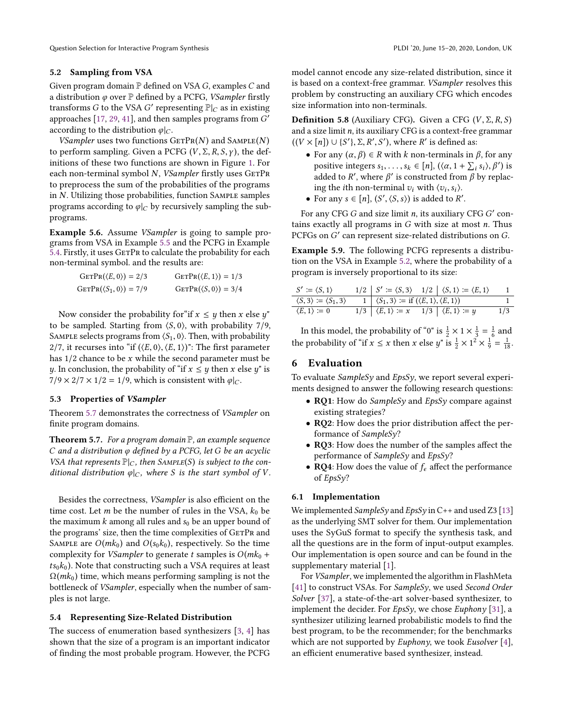#### 5.2 Sampling from VSA

Given program domain  $P$  defined on VSA  $G$ , examples  $C$  and a distribution  $\varphi$  over  $\mathbb P$  defined by a PCFG, *VSampler* firstly transforms G to the VSA G' representing  $\mathbb{P}|_C$  as in existing<br>approaches [17, 29, 41], and then samples programs from G' approaches  $[17, 29, 41]$  $[17, 29, 41]$  $[17, 29, 41]$  $[17, 29, 41]$  $[17, 29, 41]$ , and then samples programs from  $\overline{G}'$ according to the distribution  $\varphi|_C$ .

VSampler uses two functions  $GETPR(N)$  and  $SAMPLE(N)$ to perform sampling. Given a PCFG  $(V, \Sigma, R, S, \gamma)$ , the definitions of these two functions are shown in Figure [1.](#page-9-0) For each non-terminal symbol  $N$ , *VSampler* firstly uses  $GETPR$ to preprocess the sum of the probabilities of the programs in  $N$ . Utilizing those probabilities, function SAMPLE samples programs according to  $\varphi|_C$  by recursively sampling the subprograms.

Example 5.6. Assume VSampler is going to sample programs from VSA in Example [5.5](#page-7-2) and the PCFG in Example [5.4.](#page-7-3) Firstly, it uses GETPR to calculate the probability for each non-terminal symbol. and the results are:

| $GETPr(\langle E, 0 \rangle) = 2/3$   | $GETPR(\langle E, 1 \rangle) = 1/3$ |
|---------------------------------------|-------------------------------------|
| $GETPR(\langle S_1, 0 \rangle) = 7/9$ | $GETPr(\langle S, 0 \rangle) = 3/4$ |

Now consider the probability for "if  $x \leq y$  then x else y" to be sampled. Starting from  $\langle S, 0 \rangle$ , with probability 7/9, SAMPLE selects programs from  $\langle S_1, 0 \rangle$ . Then, with probability 2/7, it recurses into "if  $(\langle E, 0 \rangle, \langle E, 1 \rangle)$ ": The first parameter has  $1/2$  chance to be x while the second parameter must be y. In conclusion, the probability of "if  $x \leq y$  then x else y" is  $7/9 \times 2/7 \times 1/2 = 1/9$ , which is consistent with  $\varphi|_C$ .

#### 5.3 Properties of VSampler

Theorem [5.7](#page-8-1) demonstrates the correctness of VSampler on finite program domains.

<span id="page-8-1"></span>**Theorem 5.7.** For a program domain  $\mathbb{P}$ , an example sequence C and a distribution  $\varphi$  defined by a PCFG, let G be an acyclic VSA that represents  $\mathbb{P}|_C$ , then SAMPLE(S) is subject to the conditional distribution  $\varphi|_C$ , where S is the start symbol of V.

Besides the correctness, VSampler is also efficient on the time cost. Let *m* be the number of rules in the VSA,  $k_0$  be the maximum k among all rules and  $s_0$  be an upper bound of the programs' size, then the time complexities of GETPR and SAMPLE are  $O(mk_0)$  and  $O(s_0k_0)$ , respectively. So the time complexity for *VSampler* to generate t samples is  $O(mk_0 +$  $ts_0k_0$ ). Note that constructing such a VSA requires at least  $\Omega(mk_0)$  time, which means performing sampling is not the bottleneck of VSampler, especially when the number of samples is not large.

#### 5.4 Representing Size-Related Distribution

The success of enumeration based synthesizers [\[3,](#page-13-0) [4\]](#page-13-7) has shown that the size of a program is an important indicator of finding the most probable program. However, the PCFG model cannot encode any size-related distribution, since it is based on a context-free grammar. VSampler resolves this problem by constructing an auxiliary CFG which encodes size information into non-terminals.

**Definition 5.8** (Auxiliary CFG). Given a CFG  $(V, \Sigma, R, S)$ and a size limit  $n$ , its auxiliary CFG is a context-free grammar  $((V \times [n]) \cup \{S'\}, \Sigma, R', S')$ , where R' is defined as:

- For any  $(\alpha, \beta) \in R$  with k non-terminals in  $\beta$ , for any<br>nositive integers  $s_n \in [n]$   $((\alpha, 1 + \sum s_i) \beta')$  is positive integers  $s_1, \ldots, s_k \in [n]$ ,  $(\langle \alpha, 1 + \sum_i s_i \rangle, \beta')$  is added to R', where  $\beta'$  is constructed from  $\beta$  by replacing the *i*th non-terminal *z*<sub>1</sub>, with  $\langle z_1, s_2 \rangle$ ing the *i*th non-terminal  $v_i$  with  $\langle v_i, s_i \rangle$ .<br>For any  $s \in [n]$   $(S'/S \cap s)$  is added to  $R'$
- For any  $s \in [n]$ ,  $(S', \langle S, s \rangle)$  is added to  $R'$ .

For any CFG G and size limit *n*, its auxiliary CFG G' con-<br>ns exactly all programs in G with size at most *n*. Thus tains exactly all programs in  $G$  with size at most  $n$ . Thus PCFGs on G ′ can represent size-related distributions on G.

Example 5.9. The following PCFG represents a distribution on the VSA in Example [5.2,](#page-7-1) where the probability of a program is inversely proportional to its size:

| $S' \coloneqq \langle S, 1 \rangle$                 |                                                                                                | $1/2$ $S' \coloneqq \langle S, 3 \rangle$ $1/2$ $\langle S, 1 \rangle \coloneqq \langle E, 1 \rangle$ |     |
|-----------------------------------------------------|------------------------------------------------------------------------------------------------|-------------------------------------------------------------------------------------------------------|-----|
| $\langle S,3\rangle \coloneqq \langle S_1,3\rangle$ | $1   \langle S_1, 3 \rangle \coloneqq \text{if } (\langle E, 1 \rangle, \langle E, 1 \rangle)$ |                                                                                                       |     |
| $\langle E, 1 \rangle \coloneqq 0$                  | $1/3$ $\langle E, 1 \rangle \coloneqq x$ $1/3$ $\langle E, 1 \rangle \coloneqq y$              |                                                                                                       | 1/3 |

In this model, the probability of "0" is  $\frac{1}{2} \times 1 \times \frac{1}{3} = \frac{1}{6}$  and the probability of "if  $x \le x$  then x else y" is  $\frac{1}{2} \times 1^2 \times \frac{1}{9} = \frac{1}{18}$ .

## <span id="page-8-0"></span>6 Evaluation

To evaluate *SampleSy* and  $EpsSy$ , we report several experiments designed to answer the following research questions:

- RQ1: How do *SampleSy* and  $EpsSy$  compare against existing strategies?
- RQ2: How does the prior distribution affect the performance of SampleSy?
- RQ3: How does the number of the samples affect the performance of SampleSy and EpsSy?
- **RO4**: How does the value of  $f_{\epsilon}$  affect the performance of EpsSy?

#### 6.1 Implementation

We implemented  $SampleSy$  and  $EpsSy$  in C++ and used Z3 [\[13\]](#page-13-8) as the underlying SMT solver for them. Our implementation uses the SyGuS format to specify the synthesis task, and all the questions are in the form of input-output examples. Our implementation is open source and can be found in the supplementary material [\[1\]](#page-13-5).

For VSampler, we implemented the algorithm in FlashMeta [\[41\]](#page-14-17) to construct VSAs. For SampleSy, we used Second Order Solver [\[37\]](#page-14-15), a state-of-the-art solver-based synthesizer, to implement the decider. For  $EpsSy$ , we chose  $Euphony$  [\[31\]](#page-14-18), a synthesizer utilizing learned probabilistic models to find the best program, to be the recommender; for the benchmarks which are not supported by *Euphony*, we took *Eusolver* [\[4\]](#page-13-7), an efficient enumerative based synthesizer, instead.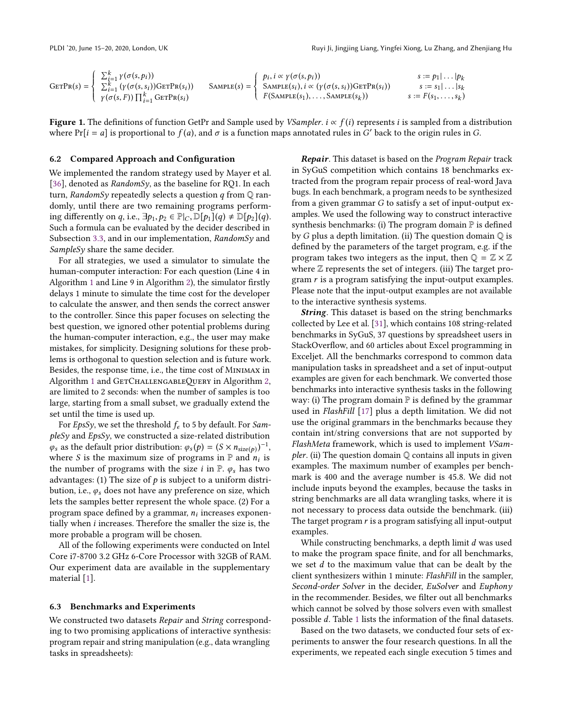$\overline{\phantom{a}}$ 

<span id="page-9-0"></span>
$$
\text{GETPr}(s) = \left\{ \begin{array}{ll} \sum_{i=1}^{k} \gamma(\sigma(s, p_i)) & s := p_1 | \dots | p_k \\ \sum_{i=1}^{k} (\gamma(\sigma(s, s_i)) \text{GETPr}(s_i)) & \text{SAMPLE}(s) = \begin{cases} p_i, i \propto \gamma(\sigma(s, p_i)) & s := p_1 | \dots | p_k \\ \text{SAMPLE}(s_i), i \propto (\gamma(\sigma(s, s_i)) \text{GETPr}(s_i)) & s := s_1 | \dots | s_k \\ F(\text{SAMPLE}(s_1), \dots, \text{SAMPLE}(s_k)) & s := F(s_1, \dots, s_k) \end{cases} \right\}
$$

Figure 1. The definitions of function GetPr and Sample used by *VSampler. i*  $\propto f(i)$  represents *i* is sampled from a distribution where Pr[ $i = a$ ] is proportional to  $f(a)$ , and  $\sigma$  is a function maps annotated rules in  $G'$  back to the origin rules in  $G$ .

#### <span id="page-9-1"></span>6.2 Compared Approach and Configuration

We implemented the random strategy used by Mayer et al. [\[36\]](#page-14-5), denoted as  $RandomSy$ , as the baseline for RQ1. In each turn, RandomSy repeatedly selects a question  $q$  from  $\mathbb Q$  randomly, until there are two remaining programs performing differently on q, i.e.,  $\exists p_1, p_2 \in \mathbb{P}|_C$ ,  $\mathbb{D}[p_1](q) \neq \mathbb{D}[p_2](q)$ . Such a formula can be evaluated by the decider described in Subsection [3.3,](#page-3-1) and in our implementation,  $RandomSy$  and  $SampleS<sub>V</sub>$  share the same decider.

For all strategies, we used a simulator to simulate the human-computer interaction: For each question (Line 4 in Algorithm [1](#page-3-0) and Line 9 in Algorithm [2\)](#page-5-1), the simulator firstly delays 1 minute to simulate the time cost for the developer to calculate the answer, and then sends the correct answer to the controller. Since this paper focuses on selecting the best question, we ignored other potential problems during the human-computer interaction, e.g., the user may make mistakes, for simplicity. Designing solutions for these problems is orthogonal to question selection and is future work. Besides, the response time, i.e., the time cost of Minimax in Algorithm [1](#page-3-0) and GETCHALLENGABLEQUERY in Algorithm [2,](#page-5-1) are limited to 2 seconds: when the number of samples is too large, starting from a small subset, we gradually extend the set until the time is used up.

For EpsSy, we set the threshold  $f_{\epsilon}$  to 5 by default. For SampleSy and EpsSy, we constructed a size-related distribution  $\varphi_s$  as the default prior distribution:  $\varphi_s(p) = (S \times n_{size(p)})^{-1}$ ,<br>where S is the maximum size of programs in  $\mathbb{P}$  and n, is where S is the maximum size of programs in P and  $n_i$  is<br>the number of programs with the size i in P  $\alpha$  has two the number of programs with the size *i* in  $\mathbb{P}$ .  $\varphi_s$  has two advantages: (1) The size of  $p$  is subject to a uniform distribution, i.e.,  $\varphi_s$  does not have any preference on size, which lets the samples better represent the whole space. (2) For a program space defined by a grammar,  $n_i$  increases exponentially when *i* increases. Therefore the smaller the size is the tially when i increases. Therefore the smaller the size is, the more probable a program will be chosen.

All of the following experiments were conducted on Intel Core i7-8700 3.2 GHz 6-Core Processor with 32GB of RAM. Our experiment data are available in the supplementary material [\[1\]](#page-13-5).

#### 6.3 Benchmarks and Experiments

We constructed two datasets Repair and String corresponding to two promising applications of interactive synthesis: program repair and string manipulation (e.g., data wrangling tasks in spreadsheets):

**Repair.** This dataset is based on the *Program Repair* track in SyGuS competition which contains 18 benchmarks extracted from the program repair process of real-word Java bugs. In each benchmark, a program needs to be synthesized from a given grammar G to satisfy a set of input-output examples. We used the following way to construct interactive synthesis benchmarks: (i) The program domain  $\mathbb P$  is defined by G plus a depth limitation. (ii) The question domain  $\mathbb Q$  is defined by the parameters of the target program, e.g. if the program takes two integers as the input, then  $\mathbb{Q} = \mathbb{Z} \times \mathbb{Z}$ where  $\mathbb Z$  represents the set of integers. (iii) The target program  $r$  is a program satisfying the input-output examples. Please note that the input-output examples are not available to the interactive synthesis systems.

String. This dataset is based on the string benchmarks collected by Lee et al. [\[31\]](#page-14-18), which contains 108 string-related benchmarks in SyGuS, 37 questions by spreadsheet users in StackOverflow, and 60 articles about Excel programming in Exceljet. All the benchmarks correspond to common data manipulation tasks in spreadsheet and a set of input-output examples are given for each benchmark. We converted those benchmarks into interactive synthesis tasks in the following way: (i) The program domain  $\mathbb P$  is defined by the grammar used in FlashFill [\[17\]](#page-14-1) plus a depth limitation. We did not use the original grammars in the benchmarks because they contain int/string conversions that are not supported by FlashMeta framework, which is used to implement VSam*pler.* (ii) The question domain  $Q$  contains all inputs in given examples. The maximum number of examples per benchmark is 400 and the average number is 45.8. We did not include inputs beyond the examples, because the tasks in string benchmarks are all data wrangling tasks, where it is not necessary to process data outside the benchmark. (iii) The target program  $r$  is a program satisfying all input-output examples.

While constructing benchmarks, a depth limit d was used to make the program space finite, and for all benchmarks, we set  $d$  to the maximum value that can be dealt by the client synthesizers within 1 minute: FlashFill in the sampler, Second-order Solver in the decider, EuSolver and Euphony in the recommender. Besides, we filter out all benchmarks which cannot be solved by those solvers even with smallest possible d. Table [1](#page-10-0) lists the information of the final datasets.

Based on the two datasets, we conducted four sets of experiments to answer the four research questions. In all the experiments, we repeated each single execution 5 times and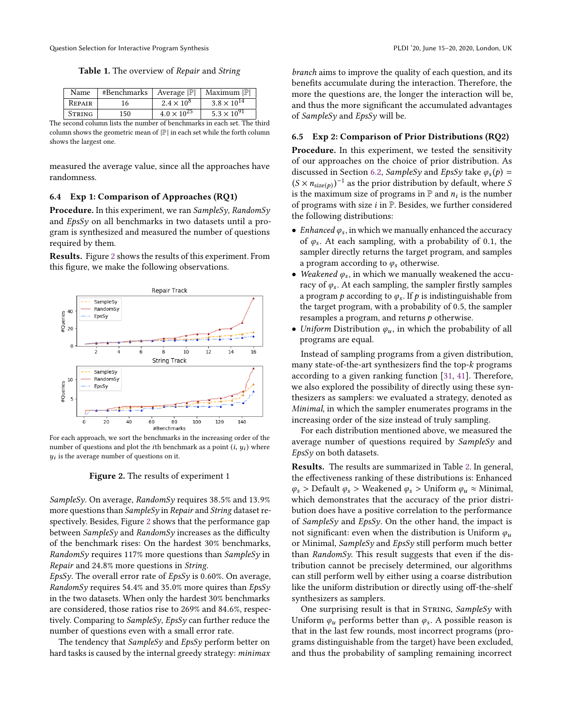Table 1. The overview of Repair and String

<span id="page-10-0"></span>

|                                                                         | Name          | #Benchmarks | Average $ \mathbb{P} $ | Maximum  P           |  |  |  |
|-------------------------------------------------------------------------|---------------|-------------|------------------------|----------------------|--|--|--|
|                                                                         | REPAIR        |             | $2.4 \times 10^{8}$    | $3.8 \times 10^{14}$ |  |  |  |
|                                                                         | <b>STRING</b> | 150         | $4.0 \times 10^{25}$   | $5.3 \times 10^{91}$ |  |  |  |
| The second column lists the number of benchmarks in each set. The third |               |             |                        |                      |  |  |  |

column shows the geometric mean of  $|\mathbb{P}|$  in each set while the forth column shows the largest one.

measured the average value, since all the approaches have randomness.

## 6.4 Exp 1: Comparison of Approaches (RQ1)

**Procedure.** In this experiment, we ran  $Samplesq$ , RandomS<sub>V</sub> and EpsSy on all benchmarks in two datasets until a program is synthesized and measured the number of questions required by them.

Results. Figure [2](#page-10-1) shows the results of this experiment. From this figure, we make the following observations.

<span id="page-10-1"></span>

For each approach, we sort the benchmarks in the increasing order of the number of questions and plot the *i*th benchmark as a point  $(i, y_i)$  where  $y_i$  is the overage number of questions on it  $y_i$  is the average number of questions on it.

#### Figure 2. The results of experiment 1

SampleSy. On average, RandomSy requires <sup>38</sup>.5% and <sup>13</sup>.9% more questions than SampleSy in Repair and String dataset respectively. Besides, Figure [2](#page-10-1) shows that the performance gap between *SampleSy* and *RandomSy* increases as the difficulty of the benchmark rises: On the hardest 30% benchmarks, RandomSy requires 117% more questions than SampleSy in Repair and <sup>24</sup>.8% more questions in String.

EpsSy. The overall error rate of EpsSy is 0.60%. On average, RandomSy requires 54.4% and 35.0% more quires than  $EpsSy$ in the two datasets. When only the hardest 30% benchmarks are considered, those ratios rise to 269% and <sup>84</sup>.6%, respectively. Comparing to  $SampleSy$ ,  $EpsSy$  can further reduce the number of questions even with a small error rate.

The tendency that SampleSy and EpsSy perform better on hard tasks is caused by the internal greedy strategy: minimax

branch aims to improve the quality of each question, and its benefits accumulate during the interaction. Therefore, the more the questions are, the longer the interaction will be, and thus the more significant the accumulated advantages of SampleSy and EpsSy will be.

#### 6.5 Exp 2: Comparison of Prior Distributions (RQ2)

Procedure. In this experiment, we tested the sensitivity of our approaches on the choice of prior distribution. As discussed in Section [6.2,](#page-9-1) *SampleSy* and *EpsSy* take  $\varphi_s(p) =$ <br>(S  $\times$  n  $\cdot$   $\leftrightarrow$ )<sup>-1</sup> as the prior distribution by default where S  $(S \times n_{\text{size}(p)})^{-1}$  as the prior distribution by default, where S<br>is the maximum size of programs in  $\mathbb{P}$  and n, is the number is the maximum size of programs in  $\mathbb P$  and  $n_i$  is the number<br>of programs with size *i* in  $\mathbb P$  Besides, we further considered of programs with size  $i$  in  $\mathbb{P}$ . Besides, we further considered the following distributions:

- *Enhanced*  $\varphi_s$ , in which we manually enhanced the accuracy of  $\varphi_s$ . At each sampling, with a probability of 0.1, the of  $\varphi_s$ . At each sampling, with a probability of 0.1, the sampler directly returns the target program and samples sampler directly returns the target program, and samples a program according to  $\varphi_s$  otherwise.
- Weakened  $\varphi_s$ , in which we manually weakened the accuracy of  $\varphi$ . At each sampling the sampler firstly samples racy of  $\varphi_s$ . At each sampling, the sampler firstly samples<br>a program a according to  $\varphi_s$ . If a is indistinguishable from a program p according to  $\varphi_s$ . If p is indistinguishable from<br>the target program, with a probability of 0.5 the sampler the target program, with a probability of <sup>0</sup>.5, the sampler resamples a program, and returns  $p$  otherwise.
- Uniform Distribution  $\varphi_u$ , in which the probability of all programs are equal.

Instead of sampling programs from a given distribution, many state-of-the-art synthesizers find the top-k programs according to a given ranking function [\[31,](#page-14-18) [41\]](#page-14-17). Therefore, we also explored the possibility of directly using these synthesizers as samplers: we evaluated a strategy, denoted as Minimal, in which the sampler enumerates programs in the increasing order of the size instead of truly sampling.

For each distribution mentioned above, we measured the average number of questions required by SampleSy and EpsSy on both datasets.

Results. The results are summarized in Table [2.](#page-11-0) In general, the effectiveness ranking of these distributions is: Enhanced  $\varphi_s$  > Default  $\varphi_s$  > Weakened  $\varphi_s$  > Uniform  $\varphi_u \approx$  Minimal, which demonstrates that the accuracy of the prior distribution does have a positive correlation to the performance of *SampleSy* and *EpsSy*. On the other hand, the impact is not significant: even when the distribution is Uniform  $\varphi_u$ or Minimal, SampleSy and EpsSy still perform much better than  $RandomSy$ . This result suggests that even if the distribution cannot be precisely determined, our algorithms can still perform well by either using a coarse distribution like the uniform distribution or directly using off-the-shelf synthesizers as samplers.

One surprising result is that in STRING,  $SampleSy$  with Uniform  $\varphi_u$  performs better than  $\varphi_s$ . A possible reason is that in the last few rounds most incorrect programs (prothat in the last few rounds, most incorrect programs (programs distinguishable from the target) have been excluded, and thus the probability of sampling remaining incorrect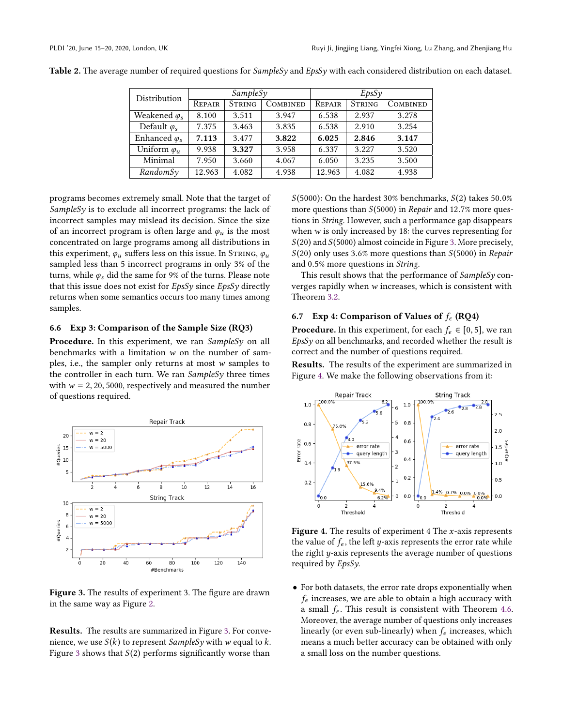| SampleSy |               |          | EpsSy  |               |          |
|----------|---------------|----------|--------|---------------|----------|
| REPAIR   | <b>STRING</b> | COMBINED | REPAIR | <b>STRING</b> | COMBINED |
| 8.100    | 3.511         | 3.947    | 6.538  | 2.937         | 3.278    |
| 7.375    | 3.463         | 3.835    | 6.538  | 2.910         | 3.254    |
| 7.113    | 3.477         | 3.822    | 6.025  | 2.846         | 3.147    |
| 9.938    | 3.327         | 3.958    | 6.337  | 3.227         | 3.520    |
| 7.950    | 3.660         | 4.067    | 6.050  | 3.235         | 3.500    |
| 12.963   | 4.082         | 4.938    | 12.963 | 4.082         | 4.938    |
|          |               |          |        |               |          |

<span id="page-11-0"></span>Table 2. The average number of required questions for SampleSy and EpsSy with each considered distribution on each dataset.

programs becomes extremely small. Note that the target of SampleSy is to exclude all incorrect programs: the lack of incorrect samples may mislead its decision. Since the size of an incorrect program is often large and  $\varphi_u$  is the most concentrated on large programs among all distributions in this experiment,  $\varphi_u$  suffers less on this issue. In STRING,  $\varphi_u$ sampled less than 5 incorrect programs in only 3% of the turns, while  $\varphi_s$  did the same for 9% of the turns. Please note that this issue does not exist for  $EpsSy$  since  $EpsSy$  directly returns when some semantics occurs too many times among samples.

## 6.6 Exp 3: Comparison of the Sample Size (RQ3)

**Procedure.** In this experiment, we ran  $SampleS<sub>V</sub>$  on all benchmarks with a limitation w on the number of samples, i.e., the sampler only returns at most w samples to the controller in each turn. We ran  $SampleS<sub>V</sub>$  three times with  $w = 2, 20, 5000$ , respectively and measured the number of questions required.

<span id="page-11-1"></span>

Figure 3. The results of experiment 3. The figure are drawn in the same way as Figure [2.](#page-10-1)

Results. The results are summarized in Figure [3.](#page-11-1) For convenience, we use  $S(k)$  to represent SampleSy with w equal to k. Figure [3](#page-11-1) shows that  $S(2)$  performs significantly worse than

 $S(5000)$ : On the hardest 30% benchmarks,  $S(2)$  takes 50.0% more questions than  $S(5000)$  in Repair and 12.7% more questions in String. However, such a performance gap disappears when  $w$  is only increased by 18: the curves representing for  $S(20)$  and  $S(5000)$  almost coincide in Figure [3.](#page-11-1) More precisely,  $S(20)$  only uses 3.6% more questions than  $S(5000)$  in Repair and <sup>0</sup>.5% more questions in String.

This result shows that the performance of  $SampleSy$  converges rapidly when w increases, which is consistent with Theorem [3.2.](#page-4-0)

## 6.7 Exp 4: Comparison of Values of  $f_\epsilon$  (RQ4)

**Procedure.** In this experiment, for each  $f_{\epsilon} \in [0, 5]$ , we ran  $EpsSv$  on all benchmarks, and recorded whether the result is correct and the number of questions required.

Results. The results of the experiment are summarized in Figure [4.](#page-11-2) We make the following observations from it:

<span id="page-11-2"></span>

Figure 4. The results of experiment 4 The  $x$ -axis represents the value of  $f_{\epsilon}$ , the left y-axis represents the error rate while the right  $y$ -axis represents the average number of questions required by EpsSy.

• For both datasets, the error rate drops exponentially when  $f_{\epsilon}$  increases, we are able to obtain a high accuracy with a small  $f_{\epsilon}$ . This result is consistent with Theorem [4.6.](#page-6-4) Moreover, the average number of questions only increases linearly (or even sub-linearly) when  $f_{\epsilon}$  increases, which means a much better accuracy can be obtained with only a small loss on the number questions.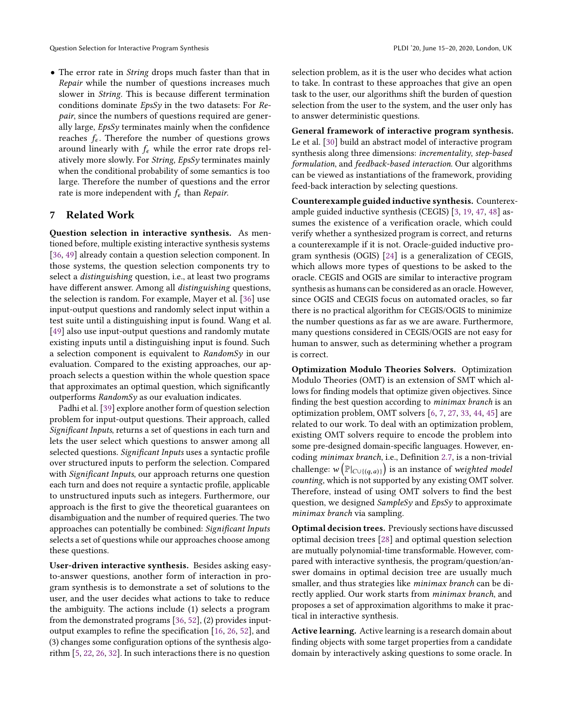• The error rate in *String* drops much faster than that in Repair while the number of questions increases much slower in String. This is because different termination conditions dominate EpsSy in the two datasets: For Repair, since the numbers of questions required are generally large, EpsSy terminates mainly when the confidence reaches  $f_{\epsilon}$ . Therefore the number of questions grows around linearly with  $f_{\epsilon}$  while the error rate drops relatively more slowly. For String, EpsSy terminates mainly when the conditional probability of some semantics is too large. Therefore the number of questions and the error rate is more independent with  $f_{\epsilon}$  than Repair.

## 7 Related Work

Question selection in interactive synthesis. As mentioned before, multiple existing interactive synthesis systems [\[36,](#page-14-5) [49\]](#page-15-4) already contain a question selection component. In those systems, the question selection components try to select a distinguishing question, i.e., at least two programs have different answer. Among all distinguishing questions, the selection is random. For example, Mayer et al. [\[36\]](#page-14-5) use input-output questions and randomly select input within a test suite until a distinguishing input is found. Wang et al. [\[49\]](#page-15-4) also use input-output questions and randomly mutate existing inputs until a distinguishing input is found. Such a selection component is equivalent to RandomSy in our evaluation. Compared to the existing approaches, our approach selects a question within the whole question space that approximates an optimal question, which significantly outperforms RandomSy as our evaluation indicates.

Padhi et al. [\[39\]](#page-14-19) explore another form of question selection problem for input-output questions. Their approach, called Significant Inputs, returns a set of questions in each turn and lets the user select which questions to answer among all selected questions. Significant Inputs uses a syntactic profile over structured inputs to perform the selection. Compared with Significant Inputs, our approach returns one question each turn and does not require a syntactic profile, applicable to unstructured inputs such as integers. Furthermore, our approach is the first to give the theoretical guarantees on disambiguation and the number of required queries. The two approaches can potentially be combined: Significant Inputs selects a set of questions while our approaches choose among these questions.

User-driven interactive synthesis. Besides asking easyto-answer questions, another form of interaction in program synthesis is to demonstrate a set of solutions to the user, and the user decides what actions to take to reduce the ambiguity. The actions include (1) selects a program from the demonstrated programs [\[36,](#page-14-5) [52\]](#page-15-5), (2) provides inputoutput examples to refine the specification [\[16,](#page-14-20) [26,](#page-14-21) [52\]](#page-15-5), and (3) changes some configuration options of the synthesis algorithm [\[5,](#page-13-9) [22,](#page-14-22) [26,](#page-14-21) [32\]](#page-14-23). In such interactions there is no question

selection problem, as it is the user who decides what action to take. In contrast to these approaches that give an open task to the user, our algorithms shift the burden of question selection from the user to the system, and the user only has to answer deterministic questions.

General framework of interactive program synthesis. Le et al. [\[30\]](#page-14-10) build an abstract model of interactive program synthesis along three dimensions: incrementality, step-based formulation, and feedback-based interaction. Our algorithms can be viewed as instantiations of the framework, providing feed-back interaction by selecting questions.

Counterexample guided inductive synthesis. Counterexample guided inductive synthesis (CEGIS) [\[3,](#page-13-0) [19,](#page-14-24) [47,](#page-15-1) [48\]](#page-15-6) assumes the existence of a verification oracle, which could verify whether a synthesized program is correct, and returns a counterexample if it is not. Oracle-guided inductive program synthesis (OGIS) [\[24\]](#page-14-25) is a generalization of CEGIS, which allows more types of questions to be asked to the oracle. CEGIS and OGIS are similar to interactive program synthesis as humans can be considered as an oracle. However, since OGIS and CEGIS focus on automated oracles, so far there is no practical algorithm for CEGIS/OGIS to minimize the number questions as far as we are aware. Furthermore, many questions considered in CEGIS/OGIS are not easy for human to answer, such as determining whether a program is correct.

Optimization Modulo Theories Solvers. Optimization Modulo Theories (OMT) is an extension of SMT which allows for finding models that optimize given objectives. Since finding the best question according to minimax branch is an optimization problem, OMT solvers [\[6,](#page-13-10) [7,](#page-13-11) [27,](#page-14-26) [33,](#page-14-27) [44,](#page-14-28) [45\]](#page-14-29) are related to our work. To deal with an optimization problem, existing OMT solvers require to encode the problem into some pre-designed domain-specific languages. However, encoding minimax branch, i.e., Definition [2.7,](#page-3-2) is a non-trivial challenge:  $w(\mathbb{P}_{|C\cup\{(q,a)\}})$  is an instance of *weighted model*<br>counting which is not supported by any existing OMT solver counting, which is not supported by any existing OMT solver. Therefore, instead of using OMT solvers to find the best question, we designed *SampleSy* and *EpsSy* to approximate minimax branch via sampling.

Optimal decision trees. Previously sections have discussed optimal decision trees [\[28\]](#page-14-13) and optimal question selection are mutually polynomial-time transformable. However, compared with interactive synthesis, the program/question/answer domains in optimal decision tree are usually much smaller, and thus strategies like minimax branch can be directly applied. Our work starts from minimax branch, and proposes a set of approximation algorithms to make it practical in interactive synthesis.

Active learning. Active learning is a research domain about finding objects with some target properties from a candidate domain by interactively asking questions to some oracle. In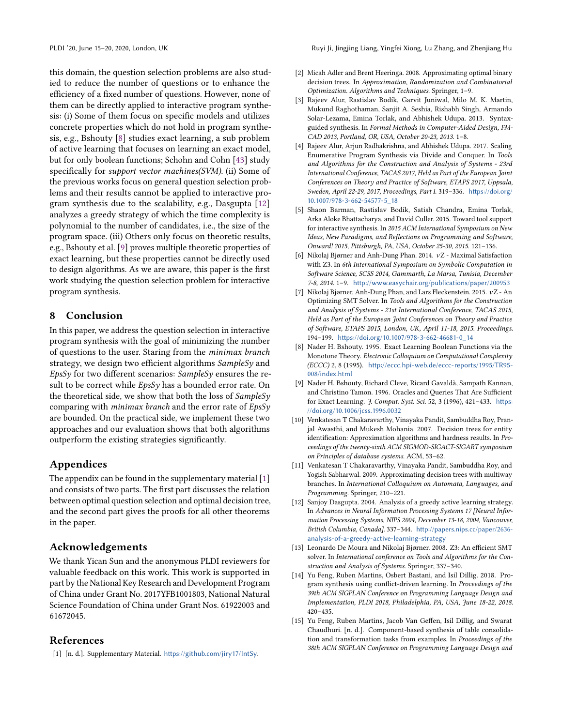this domain, the question selection problems are also studied to reduce the number of questions or to enhance the efficiency of a fixed number of questions. However, none of them can be directly applied to interactive program synthesis: (i) Some of them focus on specific models and utilizes concrete properties which do not hold in program synthesis, e.g., Bshouty [\[8\]](#page-13-12) studies exact learning, a sub problem of active learning that focuses on learning an exact model, but for only boolean functions; Schohn and Cohn [\[43\]](#page-14-30) study specifically for support vector machines(SVM). (ii) Some of the previous works focus on general question selection problems and their results cannot be applied to interactive program synthesis due to the scalability, e.g., Dasgupta [\[12\]](#page-13-13) analyzes a greedy strategy of which the time complexity is polynomial to the number of candidates, i.e., the size of the program space. (iii) Others only focus on theoretic results, e.g., Bshouty et al. [\[9\]](#page-13-14) proves multiple theoretic properties of exact learning, but these properties cannot be directly used to design algorithms. As we are aware, this paper is the first work studying the question selection problem for interactive program synthesis.

# 8 Conclusion

In this paper, we address the question selection in interactive program synthesis with the goal of minimizing the number of questions to the user. Staring from the minimax branch strategy, we design two efficient algorithms SampleSy and EpsSy for two different scenarios: SampleSy ensures the result to be correct while *EpsSy* has a bounded error rate. On the theoretical side, we show that both the loss of  $SampleS<sub>V</sub>$ comparing with *minimax branch* and the error rate of  $EpsSv$ are bounded. On the practical side, we implement these two approaches and our evaluation shows that both algorithms outperform the existing strategies significantly.

# Appendices

The appendix can be found in the supplementary material [\[1\]](#page-13-5) and consists of two parts. The first part discusses the relation between optimal question selection and optimal decision tree, and the second part gives the proofs for all other theorems in the paper.

# Acknowledgements

We thank Yican Sun and the anonymous PLDI reviewers for valuable feedback on this work. This work is supported in part by the National Key Research and Development Program of China under Grant No. 2017YFB1001803, National Natural Science Foundation of China under Grant Nos. 61922003 and 61672045.

# References

<span id="page-13-5"></span>[1] [n. d.]. Supplementary Material. <https://github.com/jiry17/IntSy>.

- <span id="page-13-3"></span>[2] Micah Adler and Brent Heeringa. 2008. Approximating optimal binary decision trees. In Approximation, Randomization and Combinatorial Optimization. Algorithms and Techniques. Springer, 1–9.
- <span id="page-13-0"></span>[3] Rajeev Alur, Rastislav Bodík, Garvit Juniwal, Milo M. K. Martin, Mukund Raghothaman, Sanjit A. Seshia, Rishabh Singh, Armando Solar-Lezama, Emina Torlak, and Abhishek Udupa. 2013. Syntaxguided synthesis. In Formal Methods in Computer-Aided Design, FM-CAD 2013, Portland, OR, USA, October 20-23, 2013. 1–8.
- <span id="page-13-7"></span>[4] Rajeev Alur, Arjun Radhakrishna, and Abhishek Udupa. 2017. Scaling Enumerative Program Synthesis via Divide and Conquer. In Tools and Algorithms for the Construction and Analysis of Systems - 23rd International Conference, TACAS 2017, Held as Part of the European Joint Conferences on Theory and Practice of Software, ETAPS 2017, Uppsala, Sweden, April 22-29, 2017, Proceedings, Part I. 319–336. [https://doi.org/](https://doi.org/10.1007/978-3-662-54577-5_18) [10.1007/978-3-662-54577-5\\_18](https://doi.org/10.1007/978-3-662-54577-5_18)
- <span id="page-13-9"></span>[5] Shaon Barman, Rastislav Bodík, Satish Chandra, Emina Torlak, Arka Aloke Bhattacharya, and David Culler. 2015. Toward tool support for interactive synthesis. In 2015 ACM International Symposium on New Ideas, New Paradigms, and Reflections on Programming and Software, Onward! 2015, Pittsburgh, PA, USA, October 25-30, 2015. 121–136.
- <span id="page-13-10"></span>[6] Nikolaj Bjørner and Anh-Dung Phan. 2014. νZ - Maximal Satisfaction with Z3. In 6th International Symposium on Symbolic Computation in Software Science, SCSS 2014, Gammarth, La Marsa, Tunisia, December 7-8, 2014. 1–9. <http://www.easychair.org/publications/paper/200953>
- <span id="page-13-11"></span>[7] Nikolaj Bjørner, Anh-Dung Phan, and Lars Fleckenstein. 2015. <sup>ν</sup>Z - An Optimizing SMT Solver. In Tools and Algorithms for the Construction and Analysis of Systems - 21st International Conference, TACAS 2015, Held as Part of the European Joint Conferences on Theory and Practice of Software, ETAPS 2015, London, UK, April 11-18, 2015. Proceedings. 194–199. [https://doi.org/10.1007/978-3-662-46681-0\\_14](https://doi.org/10.1007/978-3-662-46681-0_14)
- <span id="page-13-12"></span>[8] Nader H. Bshouty. 1995. Exact Learning Boolean Functions via the Monotone Theory. Electronic Colloquium on Computational Complexity (ECCC) 2, 8 (1995). [http://eccc.hpi-web.de/eccc-reports/1995/TR95-](http://eccc.hpi-web.de/eccc-reports/1995/TR95-008/index.html) [008/index.html](http://eccc.hpi-web.de/eccc-reports/1995/TR95-008/index.html)
- <span id="page-13-14"></span>[9] Nader H. Bshouty, Richard Cleve, Ricard Gavaldà, Sampath Kannan, and Christino Tamon. 1996. Oracles and Queries That Are Sufficient for Exact Learning. J. Comput. Syst. Sci. 52, 3 (1996), 421–433. [https:](https://doi.org/10.1006/jcss.1996.0032) [//doi.org/10.1006/jcss.1996.0032](https://doi.org/10.1006/jcss.1996.0032)
- <span id="page-13-6"></span>[10] Venkatesan T Chakaravarthy, Vinayaka Pandit, Sambuddha Roy, Pranjal Awasthi, and Mukesh Mohania. 2007. Decision trees for entity identification: Approximation algorithms and hardness results. In Proceedings of the twenty-sixth ACM SIGMOD-SIGACT-SIGART symposium on Principles of database systems. ACM, 53–62.
- <span id="page-13-4"></span>[11] Venkatesan T Chakaravarthy, Vinayaka Pandit, Sambuddha Roy, and Yogish Sabharwal. 2009. Approximating decision trees with multiway branches. In International Colloquium on Automata, Languages, and Programming. Springer, 210–221.
- <span id="page-13-13"></span>[12] Sanjoy Dasgupta. 2004. Analysis of a greedy active learning strategy. In Advances in Neural Information Processing Systems 17 [Neural Information Processing Systems, NIPS 2004, December 13-18, 2004, Vancouver, British Columbia, Canada]. 337–344. [http://papers.nips.cc/paper/2636](http://papers.nips.cc/paper/2636-analysis-of-a-greedy-active-learning-strategy) [analysis-of-a-greedy-active-learning-strategy](http://papers.nips.cc/paper/2636-analysis-of-a-greedy-active-learning-strategy)
- <span id="page-13-8"></span>[13] Leonardo De Moura and Nikolaj Bjørner. 2008. Z3: An efficient SMT solver. In International conference on Tools and Algorithms for the Construction and Analysis of Systems. Springer, 337–340.
- <span id="page-13-1"></span>[14] Yu Feng, Ruben Martins, Osbert Bastani, and Isil Dillig. 2018. Program synthesis using conflict-driven learning. In Proceedings of the 39th ACM SIGPLAN Conference on Programming Language Design and Implementation, PLDI 2018, Philadelphia, PA, USA, June 18-22, 2018. 420–435.
- <span id="page-13-2"></span>[15] Yu Feng, Ruben Martins, Jacob Van Geffen, Isil Dillig, and Swarat Chaudhuri. [n. d.]. Component-based synthesis of table consolidation and transformation tasks from examples. In Proceedings of the 38th ACM SIGPLAN Conference on Programming Language Design and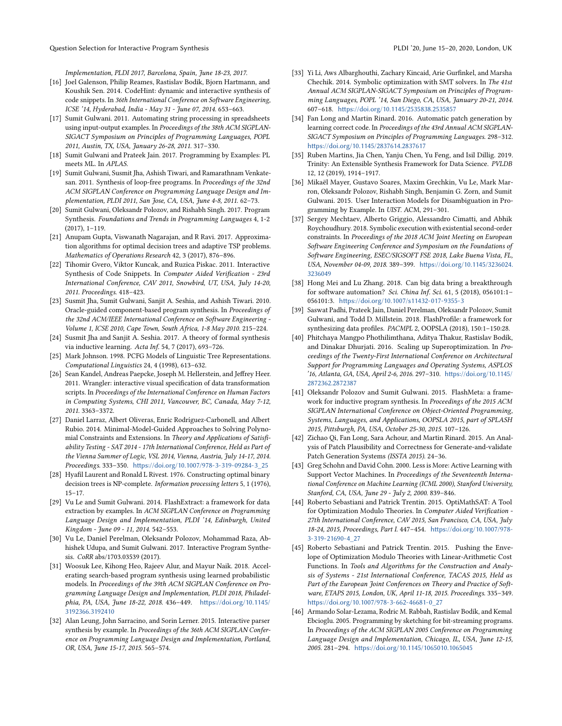Implementation, PLDI 2017, Barcelona, Spain, June 18-23, 2017.

- <span id="page-14-20"></span>[16] Joel Galenson, Philip Reames, Rastislav Bodik, Bjorn Hartmann, and Koushik Sen. 2014. CodeHint: dynamic and interactive synthesis of code snippets. In 36th International Conference on Software Engineering, ICSE '14, Hyderabad, India - May 31 - June 07, 2014. 653–663.
- <span id="page-14-1"></span>[17] Sumit Gulwani. 2011. Automating string processing in spreadsheets using input-output examples. In Proceedings of the 38th ACM SIGPLAN-SIGACT Symposium on Principles of Programming Languages, POPL 2011, Austin, TX, USA, January 26-28, 2011. 317–330.
- <span id="page-14-6"></span>[18] Sumit Gulwani and Prateek Jain. 2017. Programming by Examples: PL meets ML. In APLAS.
- <span id="page-14-24"></span>[19] Sumit Gulwani, Susmit Jha, Ashish Tiwari, and Ramarathnam Venkatesan. 2011. Synthesis of loop-free programs. In Proceedings of the 32nd ACM SIGPLAN Conference on Programming Language Design and Implementation, PLDI 2011, San Jose, CA, USA, June 4-8, 2011. 62–73.
- <span id="page-14-0"></span>[20] Sumit Gulwani, Oleksandr Polozov, and Rishabh Singh. 2017. Program Synthesis. Foundations and Trends in Programming Languages 4, 1-2 (2017), 1–119.
- <span id="page-14-11"></span>[21] Anupam Gupta, Viswanath Nagarajan, and R Ravi. 2017. Approximation algorithms for optimal decision trees and adaptive TSP problems. Mathematics of Operations Research 42, 3 (2017), 876–896.
- <span id="page-14-22"></span>[22] Tihomir Gvero, Viktor Kuncak, and Ruzica Piskac. 2011. Interactive Synthesis of Code Snippets. In Computer Aided Verification - 23rd International Conference, CAV 2011, Snowbird, UT, USA, July 14-20, 2011. Proceedings. 418–423.
- <span id="page-14-14"></span>[23] Susmit Jha, Sumit Gulwani, Sanjit A. Seshia, and Ashish Tiwari. 2010. Oracle-guided component-based program synthesis. In Proceedings of the 32nd ACM/IEEE International Conference on Software Engineering - Volume 1, ICSE 2010, Cape Town, South Africa, 1-8 May 2010. 215–224.
- <span id="page-14-25"></span>[24] Susmit Jha and Sanjit A. Seshia. 2017. A theory of formal synthesis via inductive learning. Acta Inf. 54, 7 (2017), 693–726.
- <span id="page-14-12"></span>[25] Mark Johnson. 1998. PCFG Models of Linguistic Tree Representations. Computational Linguistics 24, 4 (1998), 613–632.
- <span id="page-14-21"></span>[26] Sean Kandel, Andreas Paepcke, Joseph M. Hellerstein, and Jeffrey Heer. 2011. Wrangler: interactive visual specification of data transformation scripts. In Proceedings of the International Conference on Human Factors in Computing Systems, CHI 2011, Vancouver, BC, Canada, May 7-12, 2011. 3363–3372.
- <span id="page-14-26"></span>[27] Daniel Larraz, Albert Oliveras, Enric Rodríguez-Carbonell, and Albert Rubio. 2014. Minimal-Model-Guided Approaches to Solving Polynomial Constraints and Extensions. In Theory and Applications of Satisfiability Testing - SAT 2014 - 17th International Conference, Held as Part of the Vienna Summer of Logic, VSL 2014, Vienna, Austria, July 14-17, 2014. Proceedings. 333–350. [https://doi.org/10.1007/978-3-319-09284-3\\_25](https://doi.org/10.1007/978-3-319-09284-3_25)
- <span id="page-14-13"></span>[28] Hyafil Laurent and Ronald L Rivest. 1976. Constructing optimal binary decision trees is NP-complete. Information processing letters 5, 1 (1976), 15–17.
- <span id="page-14-16"></span>[29] Vu Le and Sumit Gulwani. 2014. FlashExtract: a framework for data extraction by examples. In ACM SIGPLAN Conference on Programming Language Design and Implementation, PLDI '14, Edinburgh, United Kingdom - June 09 - 11, 2014. 542–553.
- <span id="page-14-10"></span>[30] Vu Le, Daniel Perelman, Oleksandr Polozov, Mohammad Raza, Abhishek Udupa, and Sumit Gulwani. 2017. Interactive Program Synthesis. CoRR abs/1703.03539 (2017).
- <span id="page-14-18"></span>[31] Woosuk Lee, Kihong Heo, Rajeev Alur, and Mayur Naik. 2018. Accelerating search-based program synthesis using learned probabilistic models. In Proceedings of the 39th ACM SIGPLAN Conference on Programming Language Design and Implementation, PLDI 2018, Philadelphia, PA, USA, June 18-22, 2018. 436–449. [https://doi.org/10.1145/](https://doi.org/10.1145/3192366.3192410) [3192366.3192410](https://doi.org/10.1145/3192366.3192410)
- <span id="page-14-23"></span>[32] Alan Leung, John Sarracino, and Sorin Lerner. 2015. Interactive parser synthesis by example. In Proceedings of the 36th ACM SIGPLAN Conference on Programming Language Design and Implementation, Portland, OR, USA, June 15-17, 2015. 565–574.
- <span id="page-14-27"></span>[33] Yi Li, Aws Albarghouthi, Zachary Kincaid, Arie Gurfinkel, and Marsha Chechik. 2014. Symbolic optimization with SMT solvers. In The 41st Annual ACM SIGPLAN-SIGACT Symposium on Principles of Programming Languages, POPL '14, San Diego, CA, USA, January 20-21, 2014. 607–618. <https://doi.org/10.1145/2535838.2535857>
- <span id="page-14-8"></span>[34] Fan Long and Martin Rinard. 2016. Automatic patch generation by learning correct code. In Proceedings of the 43rd Annual ACM SIGPLAN-SIGACT Symposium on Principles of Programming Languages. 298–312. <https://doi.org/10.1145/2837614.2837617>
- <span id="page-14-2"></span>[35] Ruben Martins, Jia Chen, Yanju Chen, Yu Feng, and Isil Dillig. 2019. Trinity: An Extensible Synthesis Framework for Data Science. PVLDB 12, 12 (2019), 1914–1917.
- <span id="page-14-5"></span>[36] Mikaël Mayer, Gustavo Soares, Maxim Grechkin, Vu Le, Mark Marron, Oleksandr Polozov, Rishabh Singh, Benjamin G. Zorn, and Sumit Gulwani. 2015. User Interaction Models for Disambiguation in Programming by Example. In UIST. ACM, 291–301.
- <span id="page-14-15"></span>[37] Sergey Mechtaev, Alberto Griggio, Alessandro Cimatti, and Abhik Roychoudhury. 2018. Symbolic execution with existential second-order constraints. In Proceedings of the 2018 ACM Joint Meeting on European Software Engineering Conference and Symposium on the Foundations of Software Engineering, ESEC/SIGSOFT FSE 2018, Lake Buena Vista, FL, USA, November 04-09, 2018. 389–399. [https://doi.org/10.1145/3236024.](https://doi.org/10.1145/3236024.3236049) [3236049](https://doi.org/10.1145/3236024.3236049)
- <span id="page-14-7"></span>[38] Hong Mei and Lu Zhang. 2018. Can big data bring a breakthrough for software automation? Sci. China Inf. Sci. 61, 5 (2018), 056101:1– 056101:3. <https://doi.org/10.1007/s11432-017-9355-3>
- <span id="page-14-19"></span>[39] Saswat Padhi, Prateek Jain, Daniel Perelman, Oleksandr Polozov, Sumit Gulwani, and Todd D. Millstein. 2018. FlashProfile: a framework for synthesizing data profiles. PACMPL 2, OOPSLA (2018), 150:1–150:28.
- <span id="page-14-3"></span>[40] Phitchaya Mangpo Phothilimthana, Aditya Thakur, Rastislav Bodík, and Dinakar Dhurjati. 2016. Scaling up Superoptimization. In Proceedings of the Twenty-First International Conference on Architectural Support for Programming Languages and Operating Systems, ASPLOS '16, Atlanta, GA, USA, April 2-6, 2016. 297–310. [https://doi.org/10.1145/](https://doi.org/10.1145/2872362.2872387) [2872362.2872387](https://doi.org/10.1145/2872362.2872387)
- <span id="page-14-17"></span>[41] Oleksandr Polozov and Sumit Gulwani. 2015. FlashMeta: a framework for inductive program synthesis. In Proceedings of the 2015 ACM SIGPLAN International Conference on Object-Oriented Programming, Systems, Languages, and Applications, OOPSLA 2015, part of SPLASH 2015, Pittsburgh, PA, USA, October 25-30, 2015. 107–126.
- <span id="page-14-9"></span>[42] Zichao Qi, Fan Long, Sara Achour, and Martin Rinard. 2015. An Analysis of Patch Plausibility and Correctness for Generate-and-validate Patch Generation Systems (ISSTA 2015). 24–36.
- <span id="page-14-30"></span>[43] Greg Schohn and David Cohn. 2000. Less is More: Active Learning with Support Vector Machines. In Proceedings of the Seventeenth International Conference on Machine Learning (ICML 2000), Stanford University, Stanford, CA, USA, June 29 - July 2, 2000. 839–846.
- <span id="page-14-28"></span>[44] Roberto Sebastiani and Patrick Trentin. 2015. OptiMathSAT: A Tool for Optimization Modulo Theories. In Computer Aided Verification - 27th International Conference, CAV 2015, San Francisco, CA, USA, July 18-24, 2015, Proceedings, Part I. 447–454. [https://doi.org/10.1007/978-](https://doi.org/10.1007/978-3-319-21690-4_27) [3-319-21690-4\\_27](https://doi.org/10.1007/978-3-319-21690-4_27)
- <span id="page-14-29"></span>[45] Roberto Sebastiani and Patrick Trentin. 2015. Pushing the Envelope of Optimization Modulo Theories with Linear-Arithmetic Cost Functions. In Tools and Algorithms for the Construction and Analysis of Systems - 21st International Conference, TACAS 2015, Held as Part of the European Joint Conferences on Theory and Practice of Software, ETAPS 2015, London, UK, April 11-18, 2015. Proceedings. 335–349. [https://doi.org/10.1007/978-3-662-46681-0\\_27](https://doi.org/10.1007/978-3-662-46681-0_27)
- <span id="page-14-4"></span>[46] Armando Solar-Lezama, Rodric M. Rabbah, Rastislav Bodík, and Kemal Ebcioglu. 2005. Programming by sketching for bit-streaming programs. In Proceedings of the ACM SIGPLAN 2005 Conference on Programming Language Design and Implementation, Chicago, IL, USA, June 12-15, 2005. 281–294. <https://doi.org/10.1145/1065010.1065045>